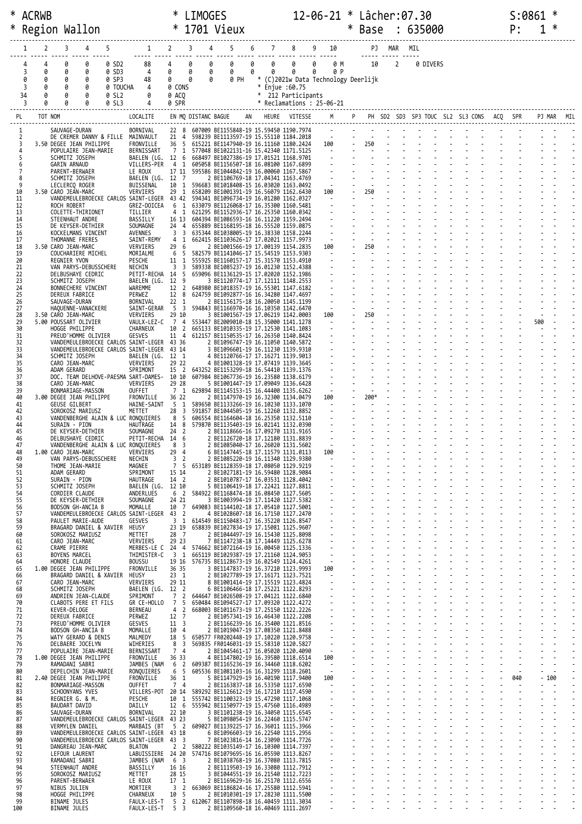|          |        | * ACRWB |                                                     |                   |                                                                                                                   |                                     | <b>LIMOGES</b>               |                                                                                            |    |        |                                                      |        |                                            |        | 12-06-21 * Lâcher:07.30                    |                |          |  |  | S:0861 |        |            |  |
|----------|--------|---------|-----------------------------------------------------|-------------------|-------------------------------------------------------------------------------------------------------------------|-------------------------------------|------------------------------|--------------------------------------------------------------------------------------------|----|--------|------------------------------------------------------|--------|--------------------------------------------|--------|--------------------------------------------|----------------|----------|--|--|--------|--------|------------|--|
| ∗        |        |         | Region Wallon                                       |                   |                                                                                                                   | $\ast$                              |                              | 1701 Vieux                                                                                 |    |        |                                                      |        |                                            | $\ast$ | Base : 635000                              |                |          |  |  | P:     |        |            |  |
|          |        | 2       | 3<br>4                                              | 5                 |                                                                                                                   | $1 \quad 2$                         | $\overline{\mathbf{3}}$<br>4 | 5                                                                                          | 6  | 7      | 8                                                    |        | 9 10                                       |        |                                            | PJ MAR MIL     |          |  |  |        |        |            |  |
|          |        |         |                                                     |                   |                                                                                                                   |                                     |                              |                                                                                            |    |        |                                                      |        |                                            |        |                                            |                |          |  |  |        |        |            |  |
|          | 3      | 4<br>0  | 0<br>0<br>0<br>0                                    | 0 SD2<br>0 SD3    | 88<br>4                                                                                                           | 4<br>0                              | 0<br>0<br>0<br>0             | 0<br>0                                                                                     | 0  | 0<br>0 | 0<br>0                                               | 0<br>0 | 0 M<br>0 P                                 |        | 10                                         | $\overline{2}$ | 0 DIVERS |  |  |        |        |            |  |
|          | 0<br>3 | 0       | 0<br>0<br>0<br>0                                    | 0 SP3<br>0 TOUCHA | 48<br>4                                                                                                           | 0<br>0 CONS                         | 0<br>0                       | 0 PH                                                                                       |    | $\ast$ | * (C)2021w Data Technology Deerlijk<br>Enjue : 60.75 |        |                                            |        |                                            |                |          |  |  |        |        |            |  |
|          | 34     |         | 0<br>0                                              | 0 SL2             | 0                                                                                                                 | 0 ACO                               |                              |                                                                                            |    | $*$    | 212 Participants                                     |        |                                            |        |                                            |                |          |  |  |        |        |            |  |
|          | 3      |         | 0<br>0                                              | 0 SL3             | 4                                                                                                                 | 0 SPR                               |                              |                                                                                            |    |        | $*$ Reclamations : 25-06-21                          |        |                                            |        |                                            |                |          |  |  |        |        |            |  |
| PL       |        | TOT NOM |                                                     |                   | LOCALITE                                                                                                          |                                     |                              | EN MQ DISTANC BAGUE                                                                        | AN |        | HEURE VITESSE                                        |        | M                                          |        | P PH SD2 SD3 SP3 TOUC SL2 SL3 CONS ACQ SPR |                |          |  |  |        |        | PJ MAR MIL |  |
|          | 1<br>2 |         | SAUVAGE-DURAN                                       |                   | BORNIVAL<br>DE CREMER DANNY & FILLE MAINVAULT                                                                     |                                     |                              | 22 8 607009 BE1155848-19 15.59450 1190.7974<br>21 4 598239 BE1113597-19 15.55110 1184.2018 |    |        |                                                      |        | $\sim 10^{-10}$                            |        |                                            |                |          |  |  |        |        |            |  |
|          | 3<br>4 |         | 3.50 DEGEE JEAN PHILIPPE<br>POPULAIRE JEAN-MARIE    |                   | FRONVILLE<br>BERNISSART                                                                                           |                                     |                              | 36 5 615221 BE1147940-19 16.11160 1180.2424<br>7 1 577048 BE1022131-16 15.42340 1171.5125  |    |        |                                                      |        | 100                                        |        | 250                                        |                |          |  |  |        |        |            |  |
|          | 5<br>6 |         | SCHMITZ JOSEPH<br><b>GARIN ARNAUD</b>               |                   | BAELEN (LG. 12 6 668497 BE1027386-19 17.01521 1168.9701<br>VILLERS-PER 4 1 605058 BE1156507-18 16.08100 1167.6899 |                                     |                              |                                                                                            |    |        |                                                      |        | 19 F                                       |        |                                            |                |          |  |  |        |        |            |  |
|          | 7<br>8 |         | PARENT-BERWAER<br>SCHMITZ JOSEPH                    |                   | LE ROUX<br>BAELEN (LG. 12 7                                                                                       |                                     |                              | 17 11 595586 BE1044842-19 16.00060 1167.5867<br>2 BE1106769-18 17.04341 1163.4769          |    |        |                                                      |        |                                            |        |                                            |                |          |  |  |        |        |            |  |
| 10       | 9      |         | LECLERCQ ROGER                                      |                   | BUISSENAL<br>VERVIERS                                                                                             | 10 1<br>29 1                        |                              | 596683 BE1018408-15 16.03020 1163.0492<br>658209 BE1001391-19 16.56079 1162.6430           |    |        |                                                      |        | $\sim$ $\sim$<br>100                       |        | 250                                        |                |          |  |  |        |        |            |  |
| 11       |        |         | 3.50 CARO JEAN-MARC                                 |                   | VANDEMEULEBROECKE CARLOS SAINT-LEGER 43 42 594341 BE1096734-19 16.01280 1162.0327                                 |                                     |                              |                                                                                            |    |        |                                                      |        | $\sim 100$                                 |        | $\omega$                                   |                |          |  |  |        |        |            |  |
| 12<br>13 |        |         | ROCH ROBERT<br>COLETTE-THIRIONET                    |                   | GREZ-DOICEA<br>TILLIER                                                                                            | 6 1<br>4 1                          |                              | 633079 BE1126068-17 16.35300 1160.5481<br>621295 BE1152936-17 16.25350 1160.0342           |    |        |                                                      |        |                                            |        |                                            |                |          |  |  |        |        |            |  |
| 14<br>15 |        |         | STEENHAUT ANDRE<br>DE KEYSER-DETHIER                |                   | BASSILLY<br>SOUMAGNE                                                                                              | 24 4                                |                              | 16 13 604394 BE1086593-16 16.11220 1159.2494<br>655889 BE1168195-18 16.55520 1159.0875     |    |        |                                                      |        |                                            |        |                                            |                |          |  |  |        |        |            |  |
| 16<br>17 |        |         | KOCKELMANS VINCENT<br>THOMANNE FRERES               |                   | AVENNES<br>SAINT-REMY                                                                                             | 3 3<br>4 1                          |                              | 635344 BE1038005-19 16.38330 1158.2244<br>662415 BE1103626-17 17.02021 1157.9973           |    |        |                                                      |        | $\sim$ $\omega$                            |        |                                            |                |          |  |  |        |        |            |  |
| 18<br>19 |        |         | 3.50 CARO JEAN-MARC<br>COUCHARIERE MICHEL           |                   | VERVIERS<br>MORIALME                                                                                              | 29 6                                |                              | 2 BE1001566-19 17.00139 1154.2835<br>6 5 582579 BE1141046-17 15.54519 1153.9303            |    |        |                                                      |        | 100<br>$\sim$                              |        | 250                                        |                |          |  |  |        |        |            |  |
| 20<br>21 |        |         | REGNIER YVON<br>VAN PARYS-DEBUSSCHERE               |                   | PESCHE<br>NECHIN                                                                                                  | 3 <sup>3</sup>                      |                              | 11 1 555925 BE1160157-17 15.31570 1153.4910<br>589338 BE1085237-19 16.01230 1152.4388      |    |        |                                                      |        |                                            |        |                                            |                |          |  |  |        |        |            |  |
| 22<br>23 |        |         | DELBUSHAYE CEDRIC                                   |                   | PETIT-RECHA 14 5<br>BAELEN (LG. 12 9                                                                              |                                     |                              | 659096 BE1136129-15 17.02020 1152.1986                                                     |    |        |                                                      |        |                                            |        |                                            |                |          |  |  |        |        |            |  |
| 24       |        |         | SCHMITZ JOSEPH<br>BONNECHERE VINCENT                |                   | WAREMME                                                                                                           | 12 2                                |                              | 3 BE1120774-17 17.12111 1148.2553<br>648980 BE1018357-19 16.55301 1147.6182                |    |        |                                                      |        |                                            |        |                                            |                |          |  |  |        |        |            |  |
| 25<br>26 |        |         | DEREUX FABRICE<br>SAUVAGE-DURAN                     |                   | PERWEZ<br>BORNIVAL                                                                                                | 12 8<br>$22 \quad 1$                |                              | 624759 BE1092877-16 16.34280 1147.4697<br>2 BE1156175-18 16.20050 1145.1199                |    |        |                                                      |        |                                            |        |                                            |                |          |  |  |        |        |            |  |
| 27<br>28 |        |         | HAQUENNE-VANACKERE<br>3.50 CARO JEAN-MARC           |                   | SAINT-GERAR<br>VERVIERS                                                                                           | 5 <sub>3</sub><br>29 10             |                              | 594843 BE1166970-16 16.10350 1142.6470<br>3 BE1001567-19 17.06219 1142.0003                |    |        |                                                      |        | $\sim$<br>100                              |        | 250                                        |                |          |  |  |        |        |            |  |
| 29<br>30 |        |         | 5.00 POUSSART OLIVIER<br>HOGGE PHILIPPE             |                   | VAULX-LEZ-C<br>CHARNEUX                                                                                           | 10 2                                |                              | 7 4 553447 BE2009010-18 15.35000 1141.1278<br>665133 BE1010335-19 17.12530 1141.1083       |    |        |                                                      |        |                                            |        |                                            |                |          |  |  |        | 500    |            |  |
| 31<br>32 |        |         | PREUD'HOMME OLIVIER                                 |                   | GESVES<br>VANDEMEULEBROECKE CARLOS SAINT-LEGER 43 36                                                              | 11 4                                |                              | 612157 BE1150535-17 16.26350 1140.8424<br>2 BE1096747-19 16.11050 1140.5872                |    |        |                                                      |        |                                            |        |                                            |                |          |  |  |        |        |            |  |
| 33<br>34 |        |         | SCHMITZ JOSEPH                                      |                   | VANDEMEULEBROECKE CARLOS SAINT-LEGER 43 14<br>BAELEN (LG. 12 1                                                    |                                     |                              | 3 BE1096601-19 16.11230 1139.9310<br>4 BE1120766-17 17.16271 1139.9013                     |    |        |                                                      |        |                                            |        |                                            |                |          |  |  |        |        |            |  |
| 35<br>36 |        |         | CARO JEAN-MARC<br>ADAM GERARD                       |                   | VERVIERS<br>SPRIMONT                                                                                              | 29 22<br>15 2                       |                              | 4 BE1001328-19 17.07419 1139.3645<br>643252 BE1153299-18 16.54410 1139.1376                |    |        |                                                      |        |                                            |        |                                            |                |          |  |  |        |        |            |  |
| 37       |        |         |                                                     |                   | DOC. TEAM DELHOVE-PAESMA SART-DAMES- 10 10                                                                        |                                     |                              | 607984 BE1067736-19 16.23580 1138.6179                                                     |    |        |                                                      |        |                                            |        |                                            |                |          |  |  |        |        |            |  |
| 38<br>39 |        |         | CARO JEAN-MARC<br>BONMARIAGE-MASSON                 |                   | VERVIERS<br>OUFFET                                                                                                | 29 28<br>7 <sub>1</sub>             |                              | 5 BE1001447-19 17.09049 1136.6428<br>629894 BE1145153-15 16.44400 1135.6262                |    |        |                                                      |        |                                            |        |                                            |                |          |  |  |        |        |            |  |
| 40<br>41 |        |         | 3.00 DEGEE JEAN PHILIPPE<br><b>GEUSE GILBERT</b>    |                   | FRONVILLE<br>HAINE-SAINT                                                                                          | 36 22<br>5 1                        |                              | 2 BE1147970-19 16.32300 1134.0479<br>589650 BE1133266-19 16.10230 1133.1070                |    |        |                                                      |        | 100<br>$\sim$                              |        | 200*                                       |                |          |  |  |        |        |            |  |
| 42<br>43 |        |         | SOROKOSZ MARIUSZ                                    |                   | METTET<br>VANDENBERGHE ALAIN & LUC RONQUIERES                                                                     | 28<br>3<br>8<br>5                   |                              | 591857 BE1044505-19 16.12260 1132.8852<br>606554 BE1164604-18 16.25350 1132.5110           |    |        |                                                      |        |                                            |        |                                            |                |          |  |  |        |        |            |  |
| 44<br>45 |        |         | SURAIN - PION<br>DE KEYSER-DETHIER                  |                   | HAUTRAGE<br>SOUMAGNE                                                                                              | 24 <sub>2</sub>                     |                              | 14 8 579870 BE1135403-19 16.02141 1132.0390<br>2 BE1118666-16 17.09270 1131.9165           |    |        |                                                      |        |                                            |        |                                            |                |          |  |  |        |        |            |  |
| 46<br>47 |        |         | DELBUSHAYE CEDRIC                                   |                   | PETIT-RECHA 14 6<br>VANDENBERGHE ALAIN & LUC RONQUIERES 8 3                                                       |                                     |                              | 2 BE1126720-18 17.12180 1131.8839<br>2 BE1085040-17 16.26020 1131.5602                     |    |        |                                                      |        |                                            |        |                                            |                |          |  |  |        |        |            |  |
| 48<br>49 |        |         | 1.00 CARO JEAN-MARC<br>VAN PARYS-DEBUSSCHERE        |                   | VERVIERS<br>NECHIN                                                                                                | 29 4<br>3<br>$\overline{2}$         |                              | 6 BE1147445-18 17.11579 1131.0113<br>2 BE1085220-19 16.11340 1129.9380                     |    |        |                                                      |        | 100                                        |        |                                            |                |          |  |  |        |        |            |  |
| 50<br>51 |        |         | THOME JEAN-MARIE<br>ADAM GERARD                     |                   | MAGNEE<br>SPRIMONT                                                                                                | 15 14                               |                              | 7 5 653189 BE1128359-18 17.08050 1129.9219<br>2 BE1027181-19 16.59480 1128.9084            |    |        |                                                      |        |                                            |        |                                            |                |          |  |  |        |        |            |  |
| 52       |        |         | SURAIN - PION                                       |                   | HAUTRAGE                                                                                                          | 14 2                                |                              | 2 BE1010787-17 16.03531 1128.4042                                                          |    |        |                                                      |        |                                            |        |                                            |                |          |  |  |        |        |            |  |
| 53<br>54 |        |         | SCHMITZ JOSEPH<br>CORDIER CLAUDE                    |                   | BAELEN (LG. 12 10<br>ANDERLUES                                                                                    | 6 2                                 |                              | 5 BE1106419-18 17.22421 1127.8811<br>584922 BE1168474-18 16.08450 1127.5605                |    |        |                                                      |        | $\blacksquare$                             |        |                                            |                |          |  |  |        |        |            |  |
| 55<br>56 |        |         | DE KEYSER-DETHIER<br>BODSON GH-ANCIA B              |                   | SOUMAGNE<br>MOMALLE                                                                                               | 24 21<br>10 7                       |                              | 3 BE1003994-19 17.11420 1127.5382<br>649083 BE1144102-18 17.05410 1127.5001                |    |        |                                                      |        |                                            |        |                                            |                |          |  |  |        |        |            |  |
| 57<br>58 |        |         | PAULET MARIE-AUDE                                   |                   | VANDEMEULEBROECKE CARLOS SAINT-LEGER 43 2<br>GESVES                                                               | 3 <sub>1</sub>                      |                              | 4 BE1028607-18 16.17150 1127.2470<br>614549 BE1150483-17 16.35220 1126.8547                |    |        |                                                      |        | $\omega$                                   |        |                                            |                |          |  |  |        |        |            |  |
| 59<br>60 |        |         | BRAGARD DANIEL & XAVIER<br>SOROKOSZ MARIUSZ         |                   | HEUSY<br>METTET                                                                                                   | 28 7                                |                              | 23 19 658839 BE1027834-19 17.15081 1125.9607<br>2 BE1044497-19 16.15430 1125.8098          |    |        |                                                      |        | $\overline{\phantom{a}}$                   |        |                                            |                |          |  |  |        |        |            |  |
| 61<br>62 |        |         | CARO JEAN-MARC<br>CRAME PIERRE                      |                   | VERVIERS<br>MERBES-LE C 24 4 574662 BE1072164-19 16.00450 1125.1336                                               | 29 23                               |                              | 7 BE1147238-18 17.14449 1125.6278                                                          |    |        |                                                      |        |                                            |        |                                            |                |          |  |  |        |        |            |  |
| 63<br>64 |        |         | BOYENS MARCEL<br>HONORE CLAUDE                      |                   | THIMISTER-C<br><b>BOUSSU</b>                                                                                      | $3\quad1$                           |                              | 665119 BE1029387-19 17.21160 1124.9053<br>19 16 576735 BE1128673-19 16.02549 1124.4261     |    |        |                                                      |        | $\overline{\phantom{a}}$<br>$\sim$         |        |                                            |                |          |  |  |        |        |            |  |
| 65<br>66 |        |         | 1.00 DEGEE JEAN PHILIPPE<br>BRAGARD DANIEL & XAVIER |                   | FRONVILLE<br>HEUSY                                                                                                | 36 35<br>$23 \quad 1$               |                              | 3 BE1147837-19 16.37210 1123.9993<br>2 BE1027789-19 17.16171 1123.7521                     |    |        |                                                      |        | 100<br>$\sim$                              |        |                                            |                |          |  |  |        |        |            |  |
| 67       |        |         | CARO JEAN-MARC                                      |                   | VERVIERS                                                                                                          | 29 11                               |                              | 8 BE1001414-19 17.15519 1123.4824                                                          |    |        |                                                      |        |                                            |        |                                            |                |          |  |  |        |        |            |  |
| 68<br>69 |        |         | SCHMITZ JOSEPH<br>ANDRIEN JEAN-CLAUDE               |                   | BAELEN (LG. 12 2<br>SPRIMONT                                                                                      | 7 <sub>2</sub>                      |                              | 6 BE1106466-18 17.25221 1122.8293<br>644647 BE1026508-19 17.04121 1122.6840                |    |        |                                                      |        |                                            |        |                                            |                |          |  |  |        |        |            |  |
| 70<br>71 |        |         | CLABOTS PERE ET FILS<br>KEVER-DELOGE                |                   | GR CE-HOLLO 7<br>BERNEAU                                                                                          | 5<br>4 2                            |                              | 650484 BE1094527-17 17.09320 1122.4272<br>668003 BE1011673-19 17.25150 1122.2226           |    |        |                                                      |        | $\mathbf{r}$                               |        |                                            |                |          |  |  |        |        |            |  |
| 72<br>73 |        |         | DEREUX FABRICE<br>PREUD'HOMME OLIVIER               |                   | PERWEZ<br>GESVES                                                                                                  | 12 7<br>11 <sup>3</sup>             |                              | 2 BE1057341-19 16.46430 1122.2208<br>2 BE1166239-16 16.35400 1121.8516                     |    |        |                                                      |        | $\overline{\phantom{a}}$                   |        |                                            |                |          |  |  |        |        |            |  |
| 74<br>75 |        |         | BODSON GH-ANCIA B<br>WATY GERARD & DENIS            |                   | MOMALLE<br>MALMEDY                                                                                                | 10 4<br>18 5                        |                              | 2 BE1019047-19 17.08350 1121.8488<br>650577 FR0202448-19 17.10220 1120.9758                |    |        |                                                      |        | $\sim$                                     |        |                                            |                |          |  |  |        |        |            |  |
| 76<br>77 |        |         | DELBAERE JOCELYN<br>POPULAIRE JEAN-MARIE            |                   | WIHERIES<br>BERNISSART                                                                                            | 8<br>$\overline{\mathbf{3}}$<br>7 4 |                              | 569835 FR0146031-19 15.58310 1120.5827<br>2 BE1045461-17 16.05020 1120.4090                |    |        |                                                      |        | $\sim$<br>$\sim$                           |        |                                            |                |          |  |  |        |        |            |  |
| 78<br>79 |        |         | 1.00 DEGEE JEAN PHILIPPE<br>RAMADANI SABRI          |                   | FRONVILLE<br>JAMBES (NAM                                                                                          | 36 33<br>6 2                        |                              | 4 BE1147802-19 16.39580 1118.6514<br>609387 BE1165236-19 16.34460 1118.6202                |    |        |                                                      |        | 100<br>$\sim$ $-$                          |        |                                            |                |          |  |  |        |        |            |  |
| 80<br>81 |        |         | DEPELCHIN JEAN-MARIE<br>2.40 DEGEE JEAN PHILIPPE    |                   | RONQUIERES<br>FRONVILLE                                                                                           | 6 5<br>36 1                         |                              | 605536 BE1081103-16 16.31299 1118.2601<br>5 BE1147929-19 16.40190 1117.9400                |    |        |                                                      |        | $\sim$<br>100                              |        |                                            |                |          |  |  | 040    | $-100$ |            |  |
| 82       |        |         | BONMARIAGE-MASSON                                   |                   | OUFFET                                                                                                            | 7 4                                 |                              | 2 BE1163837-18 16.53350 1117.6590                                                          |    |        |                                                      |        | $\sim$                                     |        |                                            |                |          |  |  |        |        |            |  |
| 83<br>84 |        |         | SCHOONYANS YVES<br>REGNIER G. & M.                  |                   | VILLERS-POT 20 14 589292 BE1126612-19 16.17210 1117.4590<br>PESCHE                                                | 10 1                                |                              | 555742 BE1100323-19 15.47290 1117.1068                                                     |    |        |                                                      |        |                                            |        |                                            |                |          |  |  |        |        |            |  |
| 85<br>86 |        |         | BAUDART DAVID<br>SAUVAGE-DURAN                      |                   | DAILLY<br>BORNIVAL                                                                                                | 12 6<br>22 10                       |                              | 555942 BE1150977-19 15.47560 1116.4989<br>3 BE1101238-19 16.34050 1115.6545                |    |        |                                                      |        |                                            |        |                                            |                |          |  |  |        |        |            |  |
| 87<br>88 |        |         | VERMYLEN DANIEL                                     |                   | VANDEMEULEBROECKE CARLOS SAINT-LEGER 43 23<br>MARBAIS (BT                                                         |                                     |                              | 5 BE1098054-19 16.22460 1115.5747<br>5 2 609027 BE1139225-17 16.36011 1115.3966            |    |        |                                                      |        | $\overline{\phantom{a}}$<br>$\blacksquare$ |        |                                            |                |          |  |  |        |        |            |  |
| 89<br>90 |        |         |                                                     |                   | VANDEMEULEBROECKE CARLOS SAINT-LEGER 43 18<br>VANDEMEULEBROECKE CARLOS SAINT-LEGER 43 3                           |                                     |                              | 6 BE1096603-19 16.22540 1115.2956<br>7 BE1023816-14 16.23090 1114.7726                     |    |        |                                                      |        | $\blacksquare$                             |        |                                            |                |          |  |  |        |        |            |  |
| 91<br>92 |        |         | DANGREAU JEAN-MARC<br>LEFOUR LAURENT                |                   | <b>BLATON</b><br>LABUISSIERE 24 20 574716 BE1079695-16 16.05590 1113.8267                                         | 2 <sub>2</sub>                      |                              | 580222 BE1035149-17 16.10300 1114.7397                                                     |    |        |                                                      |        |                                            |        |                                            |                |          |  |  |        |        |            |  |
| 93<br>94 |        |         | RAMADANI SABRI<br>STEENHAUT ANDRE                   |                   | JAMBES (NAM 6 3<br>BASSILLY                                                                                       | 16 16                               |                              | 2 BE1038768-19 16.37080 1113.7815<br>2 BE1119503-19 16.33080 1112.7912                     |    |        |                                                      |        | $\blacksquare$<br>$\blacksquare$           |        |                                            |                |          |  |  |        |        |            |  |
| 95<br>96 |        |         | SOROKOSZ MARIUSZ<br>PARENT-BERWAER                  |                   | METTET<br>LE ROUX                                                                                                 | 28 15<br>17 1                       |                              | 3 BE1044551-19 16.21540 1112.7223<br>2 BE1169629-16 16.25170 1112.6556                     |    |        |                                                      |        | $\omega$                                   |        |                                            |                |          |  |  |        |        |            |  |
| 97<br>98 |        |         | NIBUS JULIEN                                        |                   | MORTIER                                                                                                           | 3 2<br>10 5                         |                              | 663069 BE1186824-16 17.25580 1112.5941                                                     |    |        |                                                      |        |                                            |        |                                            |                |          |  |  |        |        |            |  |
| 99       |        |         | HOGGE PHILIPPE<br><b>BINAME JULES</b>               |                   | CHARNEUX<br>FAULX-LES-T 5 2 612067 BE1107898-18 16.40459 1111.3034                                                |                                     |                              | 2 BE1010301-19 17.28230 1111.5500                                                          |    |        |                                                      |        |                                            |        |                                            |                |          |  |  |        |        |            |  |
| 100      |        |         | BINAME JULES                                        |                   | FAULX-LES-T 5 3                                                                                                   |                                     |                              | 2 BE1109560-18 16.40469 1111.2697                                                          |    |        |                                                      |        |                                            |        |                                            |                |          |  |  |        |        |            |  |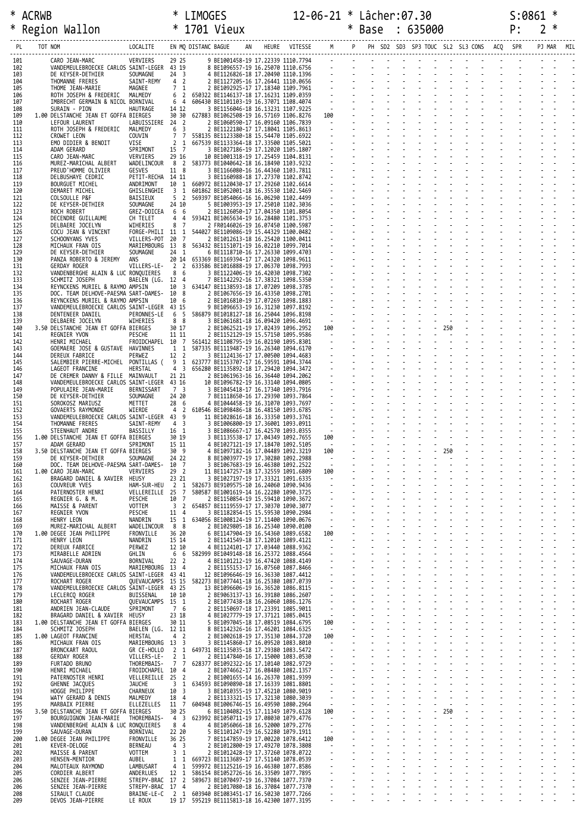| ∗          | <b>ACRWB</b> |                                                                               |                                      |                         |                         |                                                                                                                                                                                                                                            |  |                            |  |  |     |  |  |            |  |
|------------|--------------|-------------------------------------------------------------------------------|--------------------------------------|-------------------------|-------------------------|--------------------------------------------------------------------------------------------------------------------------------------------------------------------------------------------------------------------------------------------|--|----------------------------|--|--|-----|--|--|------------|--|
| ∗          |              | Region Wallon                                                                 |                                      |                         |                         |                                                                                                                                                                                                                                            |  |                            |  |  |     |  |  |            |  |
|            |              |                                                                               |                                      |                         |                         |                                                                                                                                                                                                                                            |  |                            |  |  |     |  |  |            |  |
| PL         |              |                                                                               |                                      |                         |                         |                                                                                                                                                                                                                                            |  |                            |  |  |     |  |  | PJ MAR MIL |  |
| 101        |              | CARO JEAN-MARC<br>VANDEMEULEBROECKE CARLOS SAINT-LEGER 43 19                  | VERVIERS                             | 29 25                   |                         | 9 BE1001458-19 17.22339 1110.7794<br>8 BE1006158-19 17.22339 1110.6756<br>4 BE1126826-18 17.20490 1110.1396<br>4 BE1126826-18 17.20490 1110.1396<br>2 BE1127205-16 17.26441 1110.0656<br>2 BE127205-16 17.26441 1110.0656<br>2 BE1029295-1 |  |                            |  |  |     |  |  |            |  |
| 102<br>103 |              | DE KEYSER-DETHIER                                                             | SOUMAGNE                             | 24 <sub>3</sub>         |                         |                                                                                                                                                                                                                                            |  |                            |  |  |     |  |  |            |  |
| 104<br>105 |              | THOMANNE FRERES                                                               | SAINT-REMY 4 2                       | 7 1                     |                         |                                                                                                                                                                                                                                            |  |                            |  |  |     |  |  |            |  |
| 106        |              | THOME JEAN-MARIE<br>ROTH JOSEPH & FREDERIC                                    | MAGNEE<br>MALMEDY                    |                         |                         | 6 2 650322 BE1146137-18 17.16231 1109.0359                                                                                                                                                                                                 |  |                            |  |  |     |  |  |            |  |
| 107<br>108 |              | IMBRECHT GERMAIN & NICOL BORNIVAL<br>SURAIN - PION                            | HAUTRAGE                             | 14 12                   |                         | 6 4 606430 BE1101103-19 16.37071 1108.4074                                                                                                                                                                                                 |  |                            |  |  |     |  |  |            |  |
| 109        |              | 1.00 DELSTANCHE JEAN ET GOFFA BIERGES                                         |                                      | 30 30                   |                         | 627883 BE1062508-19 16.57169 1106.8276                                                                                                                                                                                                     |  |                            |  |  |     |  |  |            |  |
| 110<br>111 |              | LEFOUR LAURENT<br>ROTH JOSEPH & FREDERIC                                      | LABUISSIERE 24 2<br>MALMEDY          | 6 3                     |                         |                                                                                                                                                                                                                                            |  |                            |  |  |     |  |  |            |  |
| 112        |              | CROWET LEON                                                                   | COUVIN                               | 77                      |                         | 558135 BE1123380-18 15.54470 1105.6922                                                                                                                                                                                                     |  |                            |  |  |     |  |  |            |  |
| 113<br>114 |              | EMO DIDIER & BENOIT<br>ADAM GERARD                                            | VISE<br>SPRIMONT                     | 2 <sub>1</sub><br>15 7  |                         | 667539 BE1133364-18 17.33500 1105.5021<br>3 BE1027186-19 17.12020 1105.1807                                                                                                                                                                |  |                            |  |  |     |  |  |            |  |
| 115        |              | CARO JEAN-MARC                                                                | VERVIERS                             | 29 16                   |                         | 10 BE1001318-19 17.25459 1104.8131                                                                                                                                                                                                         |  |                            |  |  |     |  |  |            |  |
| 116<br>117 |              | MUREZ-MARICHAL ALBERT<br>PREUD'HOMME OLIVIER                                  | WADELINCOUR 8 2<br>GESVES            | 11 8                    |                         | 583773 BE1040642-18 16.18490 1103.9232<br>3 BE1166080-16 16.44360 1103.7811                                                                                                                                                                |  |                            |  |  |     |  |  |            |  |
| 118        |              | DELBUSHAYE CEDRIC                                                             | PETIT-RECHA 14 11                    |                         |                         | 3 BE1160988-18 17.27370 1102.8742                                                                                                                                                                                                          |  |                            |  |  |     |  |  |            |  |
| 119<br>120 |              | BOURGUET MICHEL<br>DEMARET MICHEL                                             | ANDRIMONT<br>GHISLENGHIE             | 3 1                     |                         | 10 1 660972 BE1120430-17 17.29260 1102.6614<br>601862 BE1052001-18 16.35530 1102.5469                                                                                                                                                      |  |                            |  |  |     |  |  |            |  |
| 121        |              | COLSOULLE P&F                                                                 | BAISIEUX                             | 5 <sub>2</sub>          |                         | 569397 BE1054066-16 16.06290 1102.4499                                                                                                                                                                                                     |  |                            |  |  |     |  |  |            |  |
| 122<br>123 |              | DE KEYSER-DETHIER<br>ROCH ROBERT                                              | SOUMAGNE<br>GREZ-DOICEA              | 24 10<br>66             |                         | 5 BE1003953-19 17.25010 1102.3036<br>2 BE1126050-17 17.04350 1101.8054                                                                                                                                                                     |  |                            |  |  |     |  |  |            |  |
| 124        |              | DECENDRE GUILLAUME                                                            | CH TELET                             | 44                      |                         | 593421 BE1065634-19 16.28480 1101.3753                                                                                                                                                                                                     |  |                            |  |  |     |  |  |            |  |
| 125<br>126 |              | DELBAERE JOCELYN<br>COCU JEAN & VINCENT                                       | WIHERIES<br>FORGE-PHILI 11 1         | 8 7                     |                         | 2 FR0146026-19 16.07450 1100.5987<br>544027 BE1109086-19 15.44329 1100.0482                                                                                                                                                                |  |                            |  |  |     |  |  |            |  |
| 127        |              | SCHOONYANS YVES                                                               | VILLERS-POT 20 7                     |                         |                         | 2 BE1012613-18 16.25420 1100.0411                                                                                                                                                                                                          |  |                            |  |  |     |  |  |            |  |
| 128<br>129 |              | MICHAUX FRAN OIS<br>DE KEYSER-DETHIER                                         | MARIEMBOURG 13 8<br>SOUMAGNE         | 24 1                    |                         | 563432 BE1151071-19 16.02210 1099.7014<br>6 BE1118710-16 17.26330 1099.4703                                                                                                                                                                |  |                            |  |  |     |  |  |            |  |
| 130<br>131 |              | PANZA ROBERTO & JEREMY<br>GERDAY ROGER                                        | ANS<br>VILLERS-LE-                   |                         |                         | 20 14 653369 BE1169394-17 17.24320 1098.9611<br>2 2 633586 BE1016888-19 17.06370 1098.7993                                                                                                                                                 |  |                            |  |  |     |  |  |            |  |
| 132        |              | VANDENBERGHE ALAIN & LUC RONQUIERES                                           |                                      | 86                      |                         | 3 BE1122406-19 16.42030 1098.7302                                                                                                                                                                                                          |  |                            |  |  |     |  |  |            |  |
| 133<br>134 |              | SCHMITZ JOSEPH<br>REYNCKENS MURIEL & RAYMO AMPSIN                             | BAELEN (LG. 12 4                     | 10 3                    |                         | 7 BE1142292-16 17.38321 1098.5350<br>634147 BE1138593-18 17.07209 1098.3785                                                                                                                                                                |  |                            |  |  |     |  |  |            |  |
| 135        |              | DOC. TEAM DELHOVE-PAESMA SART-DAMES- 10 8                                     |                                      |                         |                         | 2 BE1067656-19 16.43350 1098.2701                                                                                                                                                                                                          |  |                            |  |  |     |  |  |            |  |
| 136<br>137 |              | REYNCKENS MURIEL & RAYMO AMPSIN<br>VANDEMEULEBROECKE CARLOS SAINT-LEGER 43 15 |                                      | 10 6                    |                         | 2 BE1016810-19 17.07269 1098.1883<br>9 BE1096653-19 16.31230 1097.8192                                                                                                                                                                     |  |                            |  |  |     |  |  |            |  |
| 138        |              | DENTENEER DANIEL                                                              | PERONNES-LE                          | 6 5                     |                         | 586879 BE1018127-18 16.25044 1096.8198                                                                                                                                                                                                     |  |                            |  |  |     |  |  |            |  |
| 139<br>140 |              | DELBAERE JOCELYN<br>3.50 DELSTANCHE JEAN ET GOFFA BIERGES                     | WIHERIES                             | 8 8<br>30 17            |                         | 3 BE1061681-18 16.09420 1096.4691<br>2 BE1062521-19 17.02439 1096.2952                                                                                                                                                                     |  |                            |  |  |     |  |  |            |  |
| 141        |              | REGNIER YVON                                                                  | PESCHE                               | 11 11                   |                         | 2 BE1152129-19 15.57150 1095.9586                                                                                                                                                                                                          |  |                            |  |  |     |  |  |            |  |
| 142<br>143 |              | HENRI MICHAEL<br>GOEMAERE JOSE & GUSTAVE HAVINNES                             |                                      |                         |                         | FROIDCHAPEL 10 7 561412 BE1108795-19 16.02190 1095.8301<br>1 1 587335 BE1119487-19 16.26340 1094.6170                                                                                                                                      |  |                            |  |  |     |  |  |            |  |
| 144        |              | DEREUX FABRICE                                                                | PERWEZ                               | 12 2                    |                         | 3 BE1124136-17 17.00500 1094.4683                                                                                                                                                                                                          |  |                            |  |  |     |  |  |            |  |
| 145<br>146 |              | SALEMBIER PIERRE-MICHEL PONTILLAS (<br>LAGEOT FRANCINE                        | HERSTAL                              | 9 1<br>$4 \overline{3}$ |                         | 623777 BE1153707-17 16.59591 1094.3744<br>656280 BE1135892-18 17.29420 1094.3472                                                                                                                                                           |  |                            |  |  |     |  |  |            |  |
| 147        |              | DE CREMER DANNY & FILLE MAINVAULT                                             |                                      | 21 21                   |                         | 2 BE1061963-16 16.36440 1094.2062                                                                                                                                                                                                          |  |                            |  |  |     |  |  |            |  |
| 148<br>149 |              | VANDEMEULEBROECKE CARLOS SAINT-LEGER 43 16<br>POPULAIRE JEAN-MARIE            | BERNISSART                           | 73                      |                         | 10 BE1096782-19 16.33140 1094.0805<br>3 BE1045418-17 16.17340 1093.7916                                                                                                                                                                    |  |                            |  |  |     |  |  |            |  |
| 150        |              | DE KEYSER-DETHIER                                                             | SOUMAGNE                             | 24 20                   |                         | 7 BE1118650-16 17.29390 1093.7864                                                                                                                                                                                                          |  |                            |  |  |     |  |  |            |  |
| 151<br>152 |              | SOROKOSZ MARIUSZ<br>GOVAERTS RAYMONDE                                         | METTET<br>WIERDE                     | 28 6                    |                         | 4 BE1044458-19 16.31070 1093.7697<br>4 2 610546 BE1098486-18 16.48150 1093.6785                                                                                                                                                            |  |                            |  |  |     |  |  |            |  |
| 153        |              | VANDEMEULEBROECKE CARLOS SAINT-LEGER 43 9                                     |                                      | 4 <sup>3</sup>          |                         | 11 BE1028616-18 16.33350 1093.3761                                                                                                                                                                                                         |  |                            |  |  |     |  |  |            |  |
| 154<br>155 |              | THOMANNE FRERES<br>STEENHAUT ANDRE                                            | SAINT-REMY<br>BASSILLY               | 16 1                    |                         | 3 BE1006800-19 17.36001 1093.0911<br>3 BE1086667-17 16.42570 1093.0355                                                                                                                                                                     |  |                            |  |  |     |  |  |            |  |
| 156        |              | 1.00 DELSTANCHE JEAN ET GOFFA BIERGES                                         |                                      | 30 19                   |                         | 3 BE1135538-17 17.04349 1092.7655                                                                                                                                                                                                          |  | 100<br>$\sim$              |  |  |     |  |  |            |  |
| 157<br>158 |              | ADAM GERARD<br>3.50 DELSTANCHE JEAN ET GOFFA BIERGES                          | SPRIMONT                             | 15 11<br>30 9           |                         | 4 BE1027121-19 17.18470 1092.5105<br>4 BE1097182-16 17.04489 1092.3219                                                                                                                                                                     |  | 100                        |  |  |     |  |  |            |  |
| 159        |              | DE KEYSER-DETHIER<br>DOC. TEAM DELHOVE-PAESMA SART-DAMES- 10 7                | SOUMAGNE                             | 24 22                   |                         | 8 BE1003977-19 17.30280 1092.2988<br>3 BE1067683-19 16.46380 1092.2522                                                                                                                                                                     |  | $\sim$                     |  |  |     |  |  |            |  |
| 160<br>161 |              | 1.00 CARO JEAN-MARC                                                           | VERVIERS                             | 29 2                    |                         | 11 BE1147257-18 17.32559 1091.6809                                                                                                                                                                                                         |  | 100                        |  |  |     |  |  |            |  |
| 162<br>163 |              | BRAGARD DANIEL & XAVIER<br>COUVREUR YVES                                      | HEUSY<br>HAM-SUR-HEU                 | 23 21<br>$\overline{2}$ | 1                       | 3 BE1027197-19 17.33321 1091.6335<br>582673 BE9109575-10 16.24060 1090.9436                                                                                                                                                                |  | $\sim$                     |  |  |     |  |  |            |  |
| 164        |              | PATERNOSTER HENRI                                                             | VELLEREILLE                          | - 25                    | 7                       | 580587 BE1001619-14 16.22280 1090.3725                                                                                                                                                                                                     |  |                            |  |  |     |  |  |            |  |
| 165<br>166 |              | REGNIER G. & M.<br>MAISSE & PARENT                                            | PESCHE<br><b>VOTTEM</b>              | 10<br>3 <sub>2</sub>    | $\overline{7}$          | 2 BE1150854-19 15.59410 1090.3672<br>654857 BE1119559-17 17.30370 1090.3077                                                                                                                                                                |  | $\blacksquare$             |  |  |     |  |  |            |  |
| 167        |              | REGNIER YVON                                                                  | PESCHE                               | 11 4                    |                         | 3 BE1182854-15 15.59530 1090.2984                                                                                                                                                                                                          |  | ÷.                         |  |  |     |  |  |            |  |
| 168<br>169 |              | HENRY LEON<br>MUREZ-MARICHAL ALBERT                                           | NANDRIN<br>WADELINCOUR               | 15 1<br>8 8             |                         | 634056 BE1008124-19 17.11400 1090.0676<br>2 BE1029805-18 16.25340 1090.0100                                                                                                                                                                |  | $\blacksquare$             |  |  |     |  |  |            |  |
| 170        |              | 1.00 DEGEE JEAN PHILIPPE                                                      | FRONVILLE                            | 36 20                   |                         | 6 BE1147904-19 16.54360 1089.6582                                                                                                                                                                                                          |  | 100                        |  |  |     |  |  |            |  |
| 171<br>172 |              | HENRY LEON<br>DEREUX FABRICE                                                  | NANDRIN<br>PERWEZ                    | 15 14<br>12 10          |                         | 2 BE1141549-18 17.12010 1089.4121<br>4 BE1124101-17 17.03440 1088.9362                                                                                                                                                                     |  | $\sim$<br>÷,               |  |  |     |  |  |            |  |
| 173        |              | MIRABELLE ADRIEN                                                              | GHLIN                                | 6 6                     |                         | 582999 BE1049148-18 16.25372 1088.4564                                                                                                                                                                                                     |  | $\omega$                   |  |  |     |  |  |            |  |
| 174<br>175 |              | SAUVAGE-DURAN<br>MICHAUX FRAN OIS                                             | BORNIVAL<br>MARIEMBOURG 13 4         | 22 <sub>2</sub>         |                         | 4 BE1101212-19 16.47420 1088.4149<br>2 BE1155153-17 16.07560 1087.8466                                                                                                                                                                     |  | $\blacksquare$             |  |  |     |  |  |            |  |
| 176        |              | VANDEMEULEBROECKE CARLOS SAINT-LEGER 43 41                                    |                                      |                         |                         | 12 BE1096646-19 16.36330 1087.4412                                                                                                                                                                                                         |  |                            |  |  |     |  |  |            |  |
| 177<br>178 |              | ROCHART ROGER<br>VANDEMEULEBROECKE CARLOS SAINT-LEGER 43 25                   | QUEVAUCAMPS 15 15                    |                         |                         | 582273 BE1077441-18 16.25380 1087.0739<br>13 BE1096606-19 16.36520 1086.8115                                                                                                                                                               |  | $\blacksquare$             |  |  |     |  |  |            |  |
| 179        |              | LECLERCQ ROGER                                                                | BUISSENAL                            | 10 10                   |                         | 2 BE9063137-13 16.39180 1086.2607                                                                                                                                                                                                          |  | $\omega$                   |  |  |     |  |  |            |  |
| 180<br>181 |              | ROCHART ROGER<br>ANDRIEN JEAN-CLAUDE                                          | OUEVAUCAMPS 15 1<br>SPRIMONT         | 7 6                     |                         | 2 BE1077438-18 16.26060 1086.1276<br>2 BE1150697-18 17.23391 1085.9011                                                                                                                                                                     |  | $\blacksquare$             |  |  |     |  |  |            |  |
| 182        |              | BRAGARD DANIEL & XAVIER HEUSY                                                 |                                      | 23 18                   |                         | 4 BE1027779-19 17.37121 1085.0415                                                                                                                                                                                                          |  | $\sim$                     |  |  |     |  |  |            |  |
| 183<br>184 |              | 1.00 DELSTANCHE JEAN ET GOFFA BIERGES<br>SCHMITZ JOSEPH                       | BAELEN (LG. 12 11                    | 30 11                   |                         | 5 BE1097045-18 17.08519 1084.6795<br>8 BE1142326-16 17.46201 1084.6325                                                                                                                                                                     |  | 100<br>$\sim$              |  |  |     |  |  |            |  |
| 185        |              | 1.00 LAGEOT FRANCINE                                                          | HERSTAL                              | 4 2                     |                         | 2 BE1002618-19 17.35130 1084.3720                                                                                                                                                                                                          |  | 100                        |  |  |     |  |  |            |  |
| 186<br>187 |              | MICHAUX FRAN OIS<br>BRONCKART RAOUL                                           | MARIEMBOURG 13 3<br>GR CE-HOLLO      | 2 <sub>1</sub>          |                         | 3 BE1145860-17 16.09520 1083.8010<br>649731 BE1135035-18 17.29380 1083.5472                                                                                                                                                                |  | $\sim$                     |  |  |     |  |  |            |  |
| 188        |              | GERDAY ROGER                                                                  | VILLERS-LE-                          | $2 \quad 1$<br>7 7      |                         | 2 BE1147840-16 17.15000 1083.0530                                                                                                                                                                                                          |  | $\blacksquare$             |  |  |     |  |  |            |  |
| 189<br>190 |              | FURTADO BRUNO<br>HENRI MICHAEL                                                | THOREMBAIS-<br>FROIDCHAPEL 10 4      |                         |                         | 628377 BE1092322-16 17.10140 1082.9729<br>2 BE1074662-17 16.08480 1082.1357                                                                                                                                                                |  |                            |  |  |     |  |  |            |  |
| 191        |              | PATERNOSTER HENRI                                                             | VELLEREILLE                          | 25<br>$\overline{3}$    | $\overline{2}$<br>1     | 2 BE1001655-14 16.26370 1081.9399                                                                                                                                                                                                          |  | $\blacksquare$             |  |  |     |  |  |            |  |
| 192<br>193 |              | GHENNE JACQUES<br>HOGGE PHILIPPE                                              | <b>JAUCHE</b><br>CHARNEUX            | 10                      | $\overline{\mathbf{3}}$ | 634593 BE1090890-18 17.16339 1081.8801<br>3 BE1010355-19 17.45210 1080.9019                                                                                                                                                                |  |                            |  |  |     |  |  |            |  |
| 194<br>195 |              | WATY GERARD & DENIS<br>MARBAIX PIERRE                                         | MALMEDY<br>ELLEZELLES                | 18<br>11                | $\overline{4}$<br>7     | 2 BE1133321-15 17.32130 1080.3039<br>604948 BE1006746-15 16.49590 1080.2964                                                                                                                                                                |  | $\mathbf{r}$<br>$\sim$     |  |  |     |  |  |            |  |
| 196        |              | 3.50 DELSTANCHE JEAN ET GOFFA BIERGES                                         |                                      | 30 25                   |                         | 6 BE1104082-15 17.11349 1079.6128                                                                                                                                                                                                          |  | 100                        |  |  | 250 |  |  |            |  |
| 197<br>198 |              | BOURGUIGNON JEAN-MARIE<br>VANDENBERGHE ALAIN & LUC RONQUIERES                 | THOREMBAIS-                          | 4 <sub>3</sub><br>84    |                         | 623992 BE1050711-19 17.08030 1079.4776<br>4 BE1056066-18 16.52000 1079.2776                                                                                                                                                                |  | $\sim$<br>$\blacksquare$   |  |  |     |  |  |            |  |
| 199        |              | SAUVAGE-DURAN                                                                 | BORNIVAL                             | 22 20                   |                         | 5 BE1101247-19 16.52280 1079.1911                                                                                                                                                                                                          |  | $\sim$                     |  |  |     |  |  |            |  |
| 200<br>201 |              | 1.00 DEGEE JEAN PHILIPPE<br>KEVER-DELOGE                                      | FRONVILLE<br>BERNEAU                 | 36 25<br>4              | $\overline{\mathbf{3}}$ | 7 BE1147859-19 17.00220 1078.6412<br>2 BE1012800-19 17.49270 1078.3808                                                                                                                                                                     |  | 100<br>$\blacksquare$      |  |  |     |  |  |            |  |
| 202        |              | MAISSE & PARENT                                                               | VOTTEM                               | 3 <sub>1</sub>          |                         | 2 BE1012428-19 17.37260 1078.0722                                                                                                                                                                                                          |  | ÷,                         |  |  |     |  |  |            |  |
| 203<br>204 |              | HENSEN-MENTIOR<br>MALOTEAUX RAYMOND                                           | AUBEL<br>LAMBUSART                   | 1 1<br>4                | 1                       | 669723 BE1113689-17 17.51140 1078.0539<br>599972 BE1125216-19 16.46380 1077.8586                                                                                                                                                           |  | $\omega$<br>$\blacksquare$ |  |  |     |  |  |            |  |
| 205        |              | CORDIER ALBERT                                                                | ANDERLUES                            | 12 1                    |                         | 586154 BE1052726-16 16.33509 1077.7895                                                                                                                                                                                                     |  |                            |  |  |     |  |  |            |  |
| 206<br>206 |              | SENZEE JEAN-PIERRE<br>SENZEE JEAN-PIERRE                                      | STREPY-BRAC 17 2<br>STREPY-BRAC 17 4 |                         |                         | 589673 BE1070497-19 16.37084 1077.7370<br>2 BE1017080-18 16.37084 1077.7370                                                                                                                                                                |  | $\blacksquare$             |  |  |     |  |  |            |  |
| 208        |              | SIRAULT CLAUDE                                                                | BRAINE-LE-C                          | 2 1                     |                         | 603940 BE1083451-17 16.50230 1077.7266                                                                                                                                                                                                     |  |                            |  |  |     |  |  |            |  |
| 209        |              | DEVOS JEAN-PIERRE                                                             | LE ROUX                              |                         |                         | 19 17 595219 BE1115813-18 16.42300 1077.3195                                                                                                                                                                                               |  |                            |  |  |     |  |  |            |  |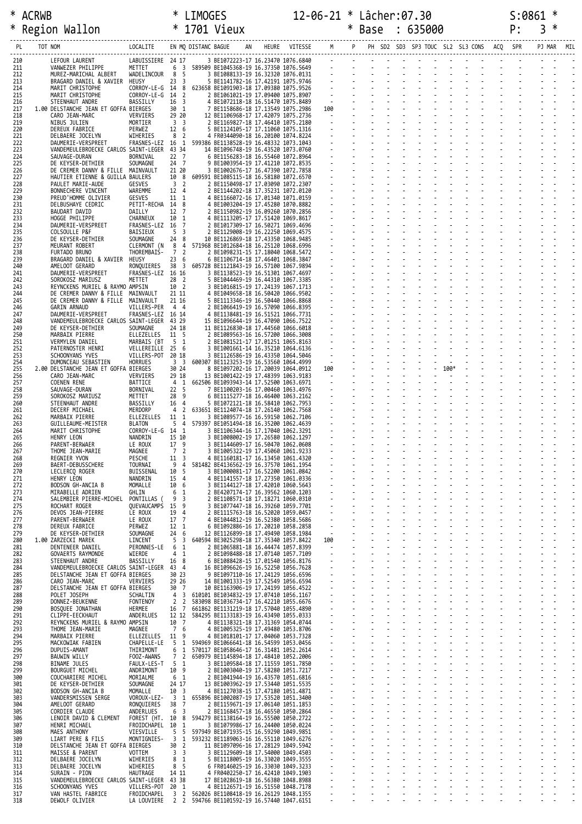# \* ACRWB \* LIMOGES 12-06-21 \* Lâcher:07.30 S:0861 \*

| ∗          | Region Wallon                                                | * 1701 Vieux                                                                  |                                  |                              |                                                                                  |                          |          | Base                                                                                                                                                                                                                           | : 635000 |                            |                               | P: | 3      |     |  |
|------------|--------------------------------------------------------------|-------------------------------------------------------------------------------|----------------------------------|------------------------------|----------------------------------------------------------------------------------|--------------------------|----------|--------------------------------------------------------------------------------------------------------------------------------------------------------------------------------------------------------------------------------|----------|----------------------------|-------------------------------|----|--------|-----|--|
| PL         | TOT NOM                                                      | LOCALITE                                                                      |                                  | EN MQ DISTANC BAGUE          | HEURE VITESSE M P                                                                |                          |          | PH SD2 SD3 SP3 TOUC SL2 SL3 CONS ACQ SPR                                                                                                                                                                                       |          |                            |                               |    | PJ MAR | MIL |  |
| 210        | LEFOUR LAURENT                                               | LABUISSIERE 24 17                                                             |                                  |                              | 3 BE1072223-17 16.23470 1076.6840                                                |                          |          | the contract of the contract of the contract of the contract of the contract of the contract of the contract of the contract of the contract of the contract of the contract of the contract of the contract of the contract o |          |                            |                               |    |        |     |  |
| 211<br>212 | VANWEZER PHILIPPE<br>MUREZ-MARICHAL ALBERT                   | METTET<br>WADELINCOUR                                                         | 6<br>8 5                         |                              | 3 589509 BE1045368-19 16.37350 1076.5649<br>3 BE1088133-19 16.32320 1076.0131    |                          |          | <u> Englishi i provinc</u>                                                                                                                                                                                                     |          |                            |                               |    |        |     |  |
| 213<br>214 | BRAGARD DANIEL & XAVIER<br>MARIT CHRISTOPHE                  | HEUSY<br>CORROY-LE-G 14 8                                                     | 23 <sup>3</sup>                  |                              | 5 BE1141782-16 17.42191 1075.9746<br>623658 BE1091903-18 17.09380 1075.9526      |                          |          |                                                                                                                                                                                                                                |          |                            |                               |    |        |     |  |
| 215<br>216 | MARIT CHRISTOPHE<br>STEENHAUT ANDRE                          | CORROY-LE-G 14 2                                                              | 16 <sup>3</sup>                  |                              | 2 BE1061021-19 17.09400 1075.8907                                                |                          |          |                                                                                                                                                                                                                                |          |                            |                               |    |        |     |  |
| 217        | 1.00 DELSTANCHE JEAN ET GOFFA BIERGES                        | BASSILLY                                                                      | 30 1                             |                              | 4 BE1072118-18 16.51470 1075.8489<br>7 BE1158686-18 17.13549 1075.2986           | 100                      |          |                                                                                                                                                                                                                                |          |                            |                               |    |        |     |  |
| 218<br>219 | CARO JEAN-MARC<br>NIBUS JULIEN                               | VERVIERS<br>MORTIER                                                           | 29 20<br>3 <sup>3</sup>          |                              | 12 BE1106968-17 17.42079 1075.2736<br>2 BE1169827-18 17.46410 1075.2180          | <b>Contract Contract</b> |          |                                                                                                                                                                                                                                |          |                            |                               |    |        |     |  |
| 220<br>221 | <b>DEREUX FABRICE</b><br>DELBAERE JOCELYN                    | PERWEZ<br>WIHERIES                                                            | 12 6<br>8                        | $\overline{2}$               | 5 BE1124105-17 17.11060 1075.1316<br>4 FR0344090-18 16.20100 1074.8224           |                          |          |                                                                                                                                                                                                                                |          |                            |                               |    |        |     |  |
| 222<br>223 | DAUMERIE-VERSPREET                                           | FRASNES-LEZ 16<br>VANDEMEULEBROECKE CARLOS SAINT-LEGER 43 34                  |                                  | 1                            | 599386 BE1138528-19 16.48332 1073.1043<br>14 BE1096748-19 16.43520 1073.0760     |                          |          |                                                                                                                                                                                                                                |          |                            |                               |    |        |     |  |
| 224        | SAUVAGE-DURAN                                                | BORNIVAL                                                                      | 22 7                             |                              | 6 BE1156283-18 16.55460 1072.8964                                                |                          |          |                                                                                                                                                                                                                                |          |                            |                               |    |        |     |  |
| 225<br>226 | DE KEYSER-DETHIER                                            | SOUMAGNE<br>DE CREMER DANNY & FILLE MAINVAULT                                 | 24 7<br>21 20                    |                              | 9 BE1003954-19 17.41210 1072.8535<br>3 BE1002676-17 16.47390 1072.7858           |                          |          |                                                                                                                                                                                                                                |          |                            |                               |    |        |     |  |
| 227<br>228 | PAULET MARIE-AUDE                                            | HAUTIER ETIENNE & GUILLA BAULERS<br><b>GESVES</b>                             | 10 8<br>3 <sub>2</sub>           |                              | 609591 BE1085115-18 16.58180 1072.6570<br>2 BE1150498-17 17.03090 1072.2307      |                          |          |                                                                                                                                                                                                                                |          |                            |                               |    |        |     |  |
| 229<br>230 | BONNECHERE VINCENT<br>PREUD'HOMME OLIVIER                    | WAREMME<br>GESVES                                                             | 12 4<br>11 1                     |                              | 2 BE1144202-18 17.35231 1072.0120<br>4 BE1166072-16 17.01340 1071.0159           |                          |          |                                                                                                                                                                                                                                |          |                            |                               |    |        |     |  |
| 231<br>232 | DELBUSHAYE CEDRIC<br>BAUDART DAVID                           | PETIT-RECHA 14 8<br>DAILLY                                                    | 12 7                             |                              | 4 BE1003204-19 17.45280 1070.8882<br>2 BE1150982-19 16.09260 1070.2856           |                          |          |                                                                                                                                                                                                                                |          |                            |                               |    |        |     |  |
| 233        | HOGGE PHILIPPE                                               | CHARNEUX                                                                      | 10 1                             |                              | 4 BE1113205-17 17.51420 1069.8617                                                |                          |          |                                                                                                                                                                                                                                |          |                            |                               |    |        |     |  |
| 234<br>235 | DAUMERIE-VERSPREET<br>COLSOULLE P&F                          | FRASNES-LEZ 16<br>BAISIEUX                                                    | 5 <sup>3</sup>                   | $\overline{7}$               | 2 BE1017309-17 16.50271 1069.4696<br>2 BE1129008-19 16.22250 1069.4575           |                          |          |                                                                                                                                                                                                                                |          |                            |                               |    |        |     |  |
| 236<br>237 | DE KEYSER-DETHIER<br>MEURANT ROBERT                          | SOUMAGNE<br>CLERMONT (N                                                       | 24 8<br>8                        | 4                            | 10 BE1126869-18 17.43350 1068.9485<br>571968 BE1012684-18 16.25120 1068.6996     |                          |          |                                                                                                                                                                                                                                |          |                            |                               |    |        |     |  |
| 238<br>239 | FURTADO BRUNO<br>BRAGARD DANIEL & XAVIER                     | THOREMBAIS-<br>HEUSY                                                          | 7<br>236                         | $\overline{2}$               | 2 BE1098231-15 17.18040 1068.5472<br>6 BE1106714-18 17.46401 1068.3847           |                          |          |                                                                                                                                                                                                                                |          |                            |                               |    |        |     |  |
| 240        | AMELOOT GERARD                                               | RONQUIERES                                                                    | 38 3                             |                              | 605728 BE1121843-19 16.57100 1067.9894                                           |                          |          |                                                                                                                                                                                                                                |          |                            |                               |    |        |     |  |
| 241<br>242 | DAUMERIE-VERSPREET<br>SOROKOSZ MARIUSZ                       | FRASNES-LEZ 16 16<br>METTET                                                   | 28 2                             |                              | 3 BE1138523-19 16.51301 1067.4697<br>5 BE1044469-19 16.44310 1067.3385           |                          |          |                                                                                                                                                                                                                                |          |                            |                               |    |        |     |  |
| 243<br>244 |                                                              | REYNCKENS MURIEL & RAYMO AMPSIN<br>DE CREMER DANNY & FILLE MAINVAULT          | 10 2<br>21 11                    |                              | 3 BE1016815-19 17.24139 1067.1713<br>4 BE1049658-18 16.50420 1066.9502           |                          |          |                                                                                                                                                                                                                                |          |                            |                               |    |        |     |  |
| 245<br>246 | GARIN ARNAUD                                                 | DE CREMER DANNY & FILLE MAINVAULT<br>VILLERS-PER 4 4                          | 21 16                            |                              | 5 BE1113346-19 16.50440 1066.8868<br>2 BE1066419-19 16.57090 1066.8395           |                          |          |                                                                                                                                                                                                                                |          |                            |                               |    |        |     |  |
| 247<br>248 | DAUMERIE-VERSPREET                                           | FRASNES-LEZ 16 14<br>VANDEMEULEBROECKE CARLOS SAINT-LEGER 43 29               |                                  |                              | 4 BE1138481-19 16.51521 1066.7731<br>15 BE1096644-19 16.47090 1066.7522          |                          |          |                                                                                                                                                                                                                                |          |                            |                               |    |        |     |  |
| 249        | DE KEYSER-DETHIER                                            | SOUMAGNE                                                                      | 24 18                            |                              | 11 BE1126830-18 17.44560 1066.6018                                               |                          |          |                                                                                                                                                                                                                                |          |                            |                               |    |        |     |  |
| 250<br>251 | MARBAIX PIERRE<br>VERMYLEN DANIEL                            | ELLEZELLES<br>MARBAIS (BT                                                     | 11 5<br>5 1                      |                              | 2 BE1089563-16 16.57200 1066.3008<br>2 BE1081521-17 17.01251 1065.8163           |                          |          |                                                                                                                                                                                                                                |          |                            |                               |    |        |     |  |
| 252<br>253 | PATERNOSTER HENRI<br>SCHOONYANS YVES                         | VELLEREILLE 25 6<br>VILLERS-POT 20 18                                         |                                  |                              | 3 BE1001661-14 16.35210 1064.6136<br>3 BE1126586-19 16.43350 1064.5046           |                          |          |                                                                                                                                                                                                                                |          |                            |                               |    |        |     |  |
| 254<br>255 | DUMONCEAU SEBASTIEN<br>2.00 DELSTANCHE JEAN ET GOFFA BIERGES | <b>HORRUES</b>                                                                | 3 <sup>3</sup><br>30 24          |                              | 600307 BE1123253-19 16.53560 1064.4999<br>8 BE1097202-16 17.20039 1064.0912      | <b>Contractor</b><br>100 |          |                                                                                                                                                                                                                                |          | <b>Contract</b><br>$-100*$ |                               |    |        |     |  |
| 256        | CARO JEAN-MARC                                               | VERVIERS                                                                      | 29 18                            |                              | 13 BE1001422-19 17.48399 1063.9183                                               | $\sim 100$               |          |                                                                                                                                                                                                                                |          |                            |                               |    |        |     |  |
| 257<br>258 | COENEN RENE<br>SAUVAGE-DURAN                                 | BATTICE<br>BORNIVAL                                                           | 4 1<br>22 5                      |                              | 662506 BE1093943-14 17.52500 1063.6971<br>7 BE1100203-16 17.00460 1063.4976      |                          |          |                                                                                                                                                                                                                                |          |                            |                               |    |        |     |  |
| 259<br>260 | SOROKOSZ MARIUSZ<br>STEENHAUT ANDRE                          | METTET<br>BASSILLY                                                            | 289<br>16 4                      |                              | 6 BE1115277-18 16.46400 1063.2162<br>5 BE1072121-18 16.58410 1062.7953           |                          |          |                                                                                                                                                                                                                                |          |                            | and the state of the state of |    |        |     |  |
| 261<br>262 | DECERF MICHAEL<br>MARBAIX PIERRE                             | MERDORP<br>ELLEZELLES                                                         | 4<br>11                          | $\overline{2}$<br>-1         | 633651 BE1124074-18 17.26140 1062.7568<br>3 BE1089577-16 16.59150 1062.7106      |                          |          |                                                                                                                                                                                                                                |          |                            |                               |    |        |     |  |
| 263<br>264 | GUILLEAUME-MEISTER<br>MARIT CHRISTOPHE                       | <b>BLATON</b><br>CORROY-LE-G 14 1                                             | 5 <sub>4</sub>                   |                              | 579397 BE1051494-18 16.35200 1062.4639<br>3 BE1106344-16 17.17040 1062.3291      |                          |          |                                                                                                                                                                                                                                |          |                            |                               |    |        |     |  |
| 265        | HENRY LEON                                                   | NANDRIN                                                                       | 15 10                            |                              | 3 BE1008002-19 17.26580 1062.1297                                                |                          |          |                                                                                                                                                                                                                                |          |                            |                               |    |        |     |  |
| 266<br>267 | PARENT-BERWAER<br>THOME JEAN-MARIE                           | LE ROUX<br>MAGNEE                                                             | 17 9<br>7 2                      |                              | 3 BE1144609-17 16.50470 1062.0608<br>3 BE1005322-19 17.45060 1061.9233           |                          |          |                                                                                                                                                                                                                                |          |                            |                               |    |        |     |  |
| 268<br>269 | REGNIER YVON<br>BAERT-DEBUSSCHERE                            | PESCHE<br>TOURNAI                                                             | 11 <sup>3</sup><br>9             | 4                            | 4 BE1160181-17 16.13450 1061.4320<br>581482 BE4136562-19 16.37570 1061.1954      |                          |          |                                                                                                                                                                                                                                |          |                            |                               |    |        |     |  |
| 270<br>271 | LECLERCQ ROGER<br>HENRY LEON                                 | BUISSENAL<br>NANDRIN                                                          | 10<br>15 4                       | -5                           | 3 BE1000081-17 16.52200 1061.0842<br>4 BE1141557-18 17.27350 1061.0336           |                          |          |                                                                                                                                                                                                                                |          |                            |                               |    |        |     |  |
| 272<br>273 | BODSON GH-ANCIA B<br>MIRABELLE ADRIEN                        | MOMALLE<br>GHLIN                                                              | 10 6<br>6                        | 1                            | 3 BE1144127-18 17.42010 1060.5643<br>2 BE4207174-17 16.39562 1060.1203           |                          |          |                                                                                                                                                                                                                                |          |                            |                               |    |        |     |  |
| 274        | SALEMBIER PIERRE-MICHEL                                      | PONTILLAS (                                                                   | 9                                | $\overline{3}$               | 2 BE1108571-18 17.18271 1060.0310                                                |                          |          |                                                                                                                                                                                                                                |          |                            |                               |    |        |     |  |
| 275<br>276 | ROCHART ROGER<br>DEVOS JEAN-PIERRE                           | QUEVAUCAMPS<br>LE ROUX                                                        | 15<br>19                         | 9<br>$\overline{4}$          | 3 BE1077447-18 16.39260 1059.7701<br>2 BE1115763-18 16.52020 1059.0457           |                          |          |                                                                                                                                                                                                                                |          |                            |                               |    |        |     |  |
| 277<br>278 | PARENT-BERWAER<br>DEREUX FABRICE                             | LE ROUX<br>PERWEZ                                                             | 17 7<br>12 <sub>1</sub>          |                              | 4 BE1044812-19 16.52380 1058.5686<br>6 BE1092886-16 17.20210 1058.2858           | $\sim$                   |          |                                                                                                                                                                                                                                |          |                            |                               |    |        |     |  |
| 279<br>280 | DE KEYSER-DETHIER<br>1.00 ZARZECKI MAREK                     | SOUMAGNE<br>LINCENT                                                           | 24<br>5 <sup>3</sup>             | 6                            | 12 BE1126899-18 17.49490 1058.1984<br>640594 BE3025298-18 17.35340 1057.8422     | $\sim$<br>100            |          |                                                                                                                                                                                                                                |          |                            |                               |    |        |     |  |
| 281<br>282 | DENTENEER DANIEL<br>GOVAERTS RAYMONDE                        | PERONNES-LE<br>WIERDE                                                         | 6<br>$\overline{4}$              | 1<br>1                       | 2 BE1065881-18 16.44474 1057.8399<br>2 BE1098488-18 17.07140 1057.7109           | $\sim$                   |          |                                                                                                                                                                                                                                |          |                            |                               |    |        |     |  |
| 283        | STEENHAUT ANDRE                                              | BASSILLY                                                                      | 16 8                             |                              | 6 BE1088428-15 17.01540 1056.8176                                                | $\omega$                 | $\omega$ |                                                                                                                                                                                                                                |          |                            |                               |    |        |     |  |
| 284<br>285 |                                                              | VANDEMEULEBROECKE CARLOS SAINT-LEGER 43 4<br>DELSTANCHE JEAN ET GOFFA BIERGES | 30 23                            |                              | 16 BE1096626-19 16.52250 1056.7628<br>9 BE1097110-16 17.24129 1056.6596          |                          |          |                                                                                                                                                                                                                                |          |                            |                               |    |        |     |  |
| 286<br>287 | CARO JEAN-MARC                                               | VERVIERS<br>DELSTANCHE JEAN ET GOFFA BIERGES                                  | 29 26<br>30 7                    |                              | 14 BE1001333-19 17.52549 1056.6594<br>10 BE1163906-19 17.24199 1056.4522         |                          |          |                                                                                                                                                                                                                                |          |                            |                               |    |        |     |  |
| 288<br>289 | POLET JOSEPH<br>DONNEZ-BEUKENNE                              | SCHALTIN<br>FONTENOY                                                          | 4<br>2 <sub>2</sub>              | $\overline{3}$               | 610101 BE1034832-19 17.07410 1056.1167<br>583098 BE1036734-17 16.42210 1055.6676 |                          |          |                                                                                                                                                                                                                                |          |                            |                               |    |        |     |  |
| 290<br>291 | BOSQUEE JONATHAN                                             | HERMEE                                                                        | 16 7                             |                              | 661862 BE1131219-18 17.57040 1055.4890<br>584295 BE1133183-19 16.43490 1055.0333 |                          |          |                                                                                                                                                                                                                                |          |                            |                               |    |        |     |  |
| 292        | CLIPPE-EECKHAUT                                              | ANDERLUES<br>REYNCKENS MURIEL & RAYMO AMPSIN                                  | 12 12<br>10 7                    |                              | 4 BE1138321-18 17.31369 1054.0744                                                |                          |          |                                                                                                                                                                                                                                |          |                            |                               |    |        |     |  |
| 293<br>294 | THOME JEAN-MARIE<br>MARBAIX PIERRE                           | MAGNEE<br>ELLEZELLES                                                          | 7 6<br>11 9                      |                              | 4 BE1005325-19 17.49480 1053.8706<br>4 BE1018101-17 17.04060 1053.7328           |                          |          |                                                                                                                                                                                                                                |          |                            |                               |    |        |     |  |
| 295<br>296 | MACKOWIAK FABIEN<br>DUPUIS-AMANT                             | CHAPELLE-LE<br>THIRIMONT                                                      | 5 <sub>1</sub><br>6              | <sup>1</sup>                 | 594969 BE1066641-18 16.54599 1053.0456<br>570117 BE1058646-17 16.31481 1052.2614 | $\sim$                   | $\Delta$ |                                                                                                                                                                                                                                |          |                            |                               |    |        |     |  |
| 297<br>298 | <b>BAUWIN WILLY</b><br><b>BINAME JULES</b>                   | FOOZ-AWANS<br>FAULX-LES-T                                                     | 7 <sup>2</sup><br>5 <sub>1</sub> |                              | 650979 BE1145894-18 17.48410 1052.2006<br>3 BE1109584-18 17.11559 1051.7850      |                          |          |                                                                                                                                                                                                                                |          |                            |                               |    |        |     |  |
| 299        | <b>BOURGUET MICHEL</b>                                       | ANDRIMONT                                                                     | 10 9                             |                              | 2 BE1003040-19 17.58280 1051.7217                                                |                          |          |                                                                                                                                                                                                                                |          | L.                         |                               |    |        |     |  |
| 300<br>301 | COUCHARIERE MICHEL<br>DE KEYSER-DETHIER                      | MORIALME<br>SOUMAGNE                                                          | 6 <sub>1</sub><br>24 17          |                              | 2 BE1041944-19 16.43570 1051.6816<br>13 BE1003962-19 17.53440 1051.5535          | $\mathcal{L}^{\pm}$      |          |                                                                                                                                                                                                                                |          |                            |                               |    |        |     |  |
| 302<br>303 | BODSON GH-ANCIA B<br>VANDERSMISSEN SERGE                     | MOMALLE<br>VOROUX-LEZ-                                                        | 10 3<br>$\overline{\mathbf{3}}$  | 1                            | 4 BE1127038-15 17.47180 1051.4871<br>655896 BE1002087-19 17.53520 1051.3400      |                          |          |                                                                                                                                                                                                                                |          |                            |                               |    |        |     |  |
| 304<br>305 | AMELOOT GERARD<br>CORDIER CLAUDE                             | RONQUIERES<br>ANDERLUES                                                       | 38<br>6                          | 7<br>$\overline{\mathbf{3}}$ | 2 BE1159671-19 17.06140 1051.1853<br>2 BE1168457-18 16.46550 1050.2864           |                          |          |                                                                                                                                                                                                                                |          |                            |                               |    |        |     |  |
| 306        | LENOIR DAVID & CLEMENT                                       | FOREST (HT. 10                                                                |                                  | 8                            | 594279 BE1138164-19 16.55500 1050.2722                                           | $\sim$                   |          |                                                                                                                                                                                                                                |          |                            |                               |    |        |     |  |
| 307<br>308 | HENRI MICHAEL<br>MAES ANTHONY                                | FROIDCHAPEL<br>VIESVILLE                                                      | 10<br>5                          | 1<br>-5                      | 3 BE1079986-17 16.24400 1050.0224<br>597949 BE1071935-15 16.59290 1049.9851      |                          |          |                                                                                                                                                                                                                                |          |                            |                               |    |        |     |  |
| 309<br>310 | LIART PERE & FILS                                            | MONTIGNIES-<br>DELSTANCHE JEAN ET GOFFA BIERGES                               | $\overline{\mathbf{3}}$<br>30    | 1<br>$\overline{2}$          | 593232 BE1189063-16 16.55110 1049.6276<br>11 BE1097096-16 17.28129 1049.5942     |                          |          |                                                                                                                                                                                                                                |          |                            |                               |    |        |     |  |
| 311<br>312 | MAISSE & PARENT<br>DELBAERE JOCELYN                          | VOTTEM<br>WIHERIES                                                            | 3<br>8                           | -3<br>1                      | 3 BE1129609-18 17.54000 1049.4503<br>5 BE1118005-19 16.33020 1049.3555           |                          |          |                                                                                                                                                                                                                                |          |                            |                               |    |        |     |  |
| 313<br>314 | DELBAERE JOCELYN<br>SURAIN - PION                            | WIHERIES<br>HAUTRAGE                                                          | 8 5<br>14 11                     |                              | 6 FR0146025-19 16.33030 1049.3233<br>4 FR0402250-17 16.42410 1049.1903           | $\sim$                   | $\omega$ |                                                                                                                                                                                                                                |          |                            |                               |    |        |     |  |
| 315        |                                                              | VANDEMEULEBROECKE CARLOS SAINT-LEGER 43 38                                    |                                  |                              | 17 BE1028619-18 16.56380 1048.8988                                               |                          |          |                                                                                                                                                                                                                                |          |                            |                               |    |        |     |  |
| 316<br>317 | SCHOONYANS YVES<br>VAN HASTEL FABRICE                        | VILLERS-POT<br>FROIDCHAPEL                                                    | 20 1<br>3 <sub>2</sub>           |                              | 4 BE1126571-19 16.51550 1048.7178<br>562026 BE1108418-19 16.26129 1048.1355      |                          |          |                                                                                                                                                                                                                                |          |                            |                               |    |        |     |  |
| 318        | DEWOLF OLIVIER                                               | LA LOUVIERE                                                                   |                                  |                              | 2 2 594766 BE1101592-19 16.57440 1047.6151                                       |                          |          |                                                                                                                                                                                                                                |          |                            |                               |    |        |     |  |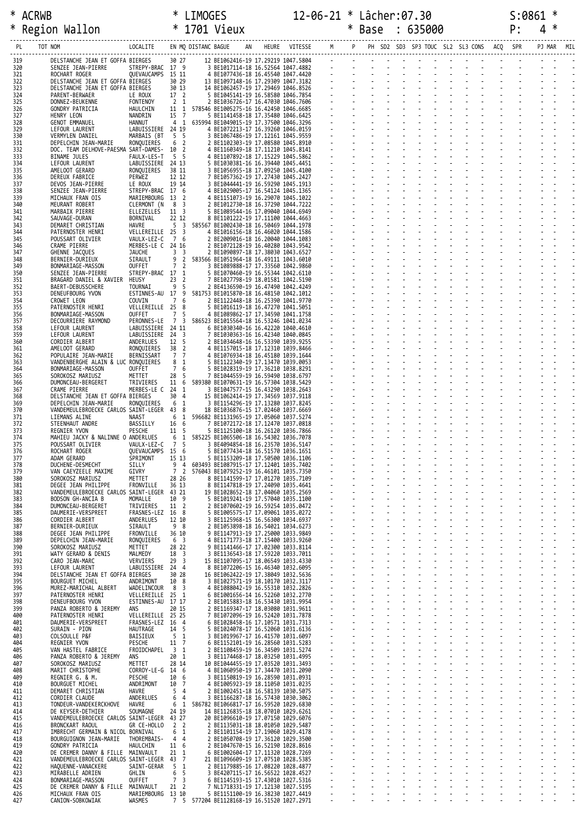| $\ast$     | <b>ACRWB</b>                                                      |                                 |                                       |                                           |                                                                             |  |                          |  |  |  |  | S:0861 |                |  |
|------------|-------------------------------------------------------------------|---------------------------------|---------------------------------------|-------------------------------------------|-----------------------------------------------------------------------------|--|--------------------------|--|--|--|--|--------|----------------|--|
|            | * Region Wallon                                                   |                                 |                                       |                                           |                                                                             |  |                          |  |  |  |  |        | $\overline{4}$ |  |
| PL         | TOT NOM                                                           |                                 |                                       |                                           |                                                                             |  |                          |  |  |  |  |        |                |  |
|            |                                                                   |                                 |                                       |                                           |                                                                             |  |                          |  |  |  |  |        |                |  |
| 319<br>320 | DELSTANCHE JEAN ET GOFFA BIERGES<br>SENZEE JEAN-PIERRE            |                                 |                                       |                                           |                                                                             |  |                          |  |  |  |  |        |                |  |
| 321<br>322 | ROCHART ROGER<br>DELSTANCHE JEAN ET GOFFA BIERGES                 |                                 |                                       |                                           |                                                                             |  |                          |  |  |  |  |        |                |  |
| 323<br>324 | DELSTANCHE JEAN ET GOFFA BIERGES<br>PARENT-BERWAER                |                                 |                                       |                                           |                                                                             |  |                          |  |  |  |  |        |                |  |
| 325        | DONNEZ-BEUKENNE                                                   |                                 |                                       |                                           |                                                                             |  |                          |  |  |  |  |        |                |  |
| 326<br>327 | GONDRY PATRICIA<br>HENRY LEON                                     |                                 |                                       |                                           |                                                                             |  |                          |  |  |  |  |        |                |  |
| 328<br>329 | GENOT EMMANUEL<br>LEFOUR LAURENT                                  |                                 |                                       |                                           |                                                                             |  |                          |  |  |  |  |        |                |  |
| 330        | VERMYLEN DANIEL                                                   |                                 |                                       |                                           |                                                                             |  |                          |  |  |  |  |        |                |  |
| 331<br>332 | DEPELCHIN JEAN-MARIE<br>DOC. TEAM DELHOVE-PAESMA SART-DAMES- 10 2 |                                 |                                       |                                           |                                                                             |  |                          |  |  |  |  |        |                |  |
| 333<br>334 | BINAME JULES<br>LEFOUR LAURENT                                    |                                 |                                       |                                           |                                                                             |  |                          |  |  |  |  |        |                |  |
| 335        | AMELOOT GERARD                                                    |                                 |                                       |                                           |                                                                             |  |                          |  |  |  |  |        |                |  |
| 336<br>337 | DEREUX FABRICE<br>DEVOS JEAN-PIERRE                               |                                 |                                       |                                           |                                                                             |  |                          |  |  |  |  |        |                |  |
| 338<br>339 | SENZEE JEAN-PIERRE<br>MICHAUX FRAN OIS                            |                                 |                                       |                                           |                                                                             |  |                          |  |  |  |  |        |                |  |
| 340        | MEURANT ROBERT                                                    |                                 |                                       |                                           |                                                                             |  |                          |  |  |  |  |        |                |  |
| 341<br>342 | MARBAIX PIERRE<br>SAUVAGE-DURAN                                   |                                 |                                       |                                           |                                                                             |  |                          |  |  |  |  |        |                |  |
| 343<br>344 | DEMARET CHRISTIAN<br>PATERNOSTER HENRI                            |                                 |                                       |                                           |                                                                             |  |                          |  |  |  |  |        |                |  |
| 345        | POUSSART OLIVIER                                                  |                                 |                                       |                                           |                                                                             |  |                          |  |  |  |  |        |                |  |
| 346<br>347 | CRAME PIERRE<br>GHENNE JACQUES                                    |                                 |                                       |                                           |                                                                             |  |                          |  |  |  |  |        |                |  |
| 348<br>349 | BERNIER-DURIEUX<br>BONMARIAGE-MASSON                              |                                 |                                       |                                           |                                                                             |  |                          |  |  |  |  |        |                |  |
| 350        | SENZEE JEAN-PIERRE                                                |                                 |                                       |                                           |                                                                             |  |                          |  |  |  |  |        |                |  |
| 351<br>352 | BRAGARD DANIEL & XAVIER HEUSY<br>BAERT-DEBUSSCHERE                |                                 |                                       |                                           |                                                                             |  |                          |  |  |  |  |        |                |  |
| 353        | DENEUFBOURG YVON                                                  |                                 |                                       |                                           |                                                                             |  |                          |  |  |  |  |        |                |  |
| 354<br>355 | CROWET LEON<br>PATERNOSTER HENRI                                  |                                 |                                       |                                           |                                                                             |  |                          |  |  |  |  |        |                |  |
| 356<br>357 | BONMARIAGE-MASSON<br>DECOURRIERE RAYMOND                          |                                 |                                       |                                           |                                                                             |  |                          |  |  |  |  |        |                |  |
| 358        | LEFOUR LAURENT                                                    |                                 |                                       |                                           |                                                                             |  |                          |  |  |  |  |        |                |  |
| 359<br>360 | LEFOUR LAURENT<br>CORDIER ALBERT                                  |                                 |                                       |                                           |                                                                             |  |                          |  |  |  |  |        |                |  |
| 361<br>362 | AMELOOT GERARD<br>POPULAIRE JEAN-MARIE                            |                                 |                                       |                                           |                                                                             |  |                          |  |  |  |  |        |                |  |
| 363        | VANDENBERGHE ALAIN & LUC RONQUIERES                               |                                 |                                       |                                           |                                                                             |  |                          |  |  |  |  |        |                |  |
| 364<br>365 | BONMARIAGE-MASSON<br>SOROKOSZ MARIUSZ                             |                                 |                                       |                                           |                                                                             |  |                          |  |  |  |  |        |                |  |
| 366<br>367 | DUMONCEAU-BERGERET<br>CRAME PIERRE                                |                                 |                                       |                                           |                                                                             |  |                          |  |  |  |  |        |                |  |
| 368        | DELSTANCHE JEAN ET GOFFA BIERGES                                  |                                 |                                       |                                           |                                                                             |  |                          |  |  |  |  |        |                |  |
| 369<br>370 | DEPELCHIN JEAN-MARIE<br>VANDEMEULEBROECKE CARLOS SAINT-LEGER 43 8 |                                 |                                       |                                           |                                                                             |  |                          |  |  |  |  |        |                |  |
| 371<br>372 | LIEMANS ALINE<br>STEENHAUT ANDRE                                  |                                 |                                       |                                           |                                                                             |  |                          |  |  |  |  |        |                |  |
| 373        | REGNIER YVON                                                      |                                 |                                       |                                           |                                                                             |  |                          |  |  |  |  |        |                |  |
| 374<br>375 | MAHIEU JACKY & NALINNE O ANDERLUES<br>POUSSART OLIVIER            | VAULX-LEZ-C 7 5                 |                                       |                                           | 3 BE4094854-18 16.23570 1036.5147                                           |  |                          |  |  |  |  |        |                |  |
| 376<br>377 | ROCHART ROGER<br>ADAM GERARD                                      | QUEVAUCAMPS 15 6<br>SPRIMONT    | 15 13                                 |                                           | 5 BE1077434-18 16.51570 1036.1651<br>5 BE1153209-18 17.50500 1036.1106      |  |                          |  |  |  |  |        |                |  |
| 378        | DUCHENE-DESMECHT                                                  | SILLY                           | 9                                     | $\overline{4}$                            | 603493 BE1087915-17 17.12401 1035.7402                                      |  |                          |  |  |  |  |        |                |  |
| 379<br>380 | VAN CAEYZEELE MAXIME<br>SOROKOSZ MARIUSZ                          | GIVRY<br>METTET                 | 7 <sup>2</sup><br>28 26               |                                           | 576043 BE1079252-19 16.46101 1035.7350<br>8 BE1141599-17 17.01270 1035.7109 |  |                          |  |  |  |  |        |                |  |
| 381<br>382 | DEGEE JEAN PHILIPPE<br>VANDEMEULEBROECKE CARLOS SAINT-LEGER 43 21 | FRONVILLE                       | 36 13                                 |                                           | 8 BE1147818-19 17.24090 1035.4641<br>19 BE1028652-18 17.04060 1035.2569     |  |                          |  |  |  |  |        |                |  |
| 383        | BODSON GH-ANCIA B                                                 | MOMALLE                         | 10 9                                  |                                           | 5 BE1019241-19 17.57040 1035.1100                                           |  |                          |  |  |  |  |        |                |  |
| 384<br>385 | DUMONCEAU-BERGERET<br>DAUMERIE-VERSPREET                          | TRIVIERES<br>FRASNES-LEZ 16     | 11 2<br>8                             |                                           | 2 BE1070602-19 16.59254 1035.0472<br>5 BE1005575-17 17.09061 1035.0272      |  |                          |  |  |  |  |        |                |  |
| 386<br>387 | CORDIER ALBERT<br>BERNIER-DURIEUX                                 | ANDERLUES<br>SIRAULT            | 12 10<br>9<br>8                       |                                           | 3 BE1125968-15 16.56300 1034.6937<br>2 BE1053898-18 16.54021 1034.6273      |  |                          |  |  |  |  |        |                |  |
| 388        | DEGEE JEAN PHILIPPE                                               | FRONVILLE                       | 36 10                                 |                                           | 9 BE1147913-19 17.25000 1033.9849                                           |  |                          |  |  |  |  |        |                |  |
| 389<br>390 | DEPELCHIN JEAN-MARIE<br>SOROKOSZ MARIUSZ                          | RONOUIERES<br>METTET            | 6<br>$\overline{\mathbf{3}}$<br>28 22 |                                           | 4 BE1171773-18 17.15400 1033.9260<br>9 BE1141466-17 17.02300 1033.8114      |  |                          |  |  |  |  |        |                |  |
| 391<br>392 | WATY GERARD & DENIS<br>CARO JEAN-MARC                             | MALMEDY<br>VERVIERS             | 18<br>29                              | $\overline{3}$<br>$\overline{\mathbf{3}}$ | 3 BE1136543-18 17.59220 1033.7011<br>15 BE1107095-17 18.06549 1033.4330     |  |                          |  |  |  |  |        |                |  |
| 393        | LEFOUR LAURENT                                                    | LABUISSIERE 24 4                |                                       |                                           | 8 BE1072206-15 16.46340 1032.6095                                           |  |                          |  |  |  |  |        |                |  |
| 394<br>395 | DELSTANCHE JEAN ET GOFFA BIERGES<br><b>BOURGUET MICHEL</b>        | ANDRIMONT                       | 30 28<br>10 8                         |                                           | 16 BE1062422-19 17.38049 1032.5636<br>3 BE1027571-19 18.10170 1032.3117     |  |                          |  |  |  |  |        |                |  |
| 396<br>397 | MUREZ-MARICHAL ALBERT<br>PATERNOSTER HENRI                        | WADELINCOUR<br>VELLEREILLE 25 1 | 8 3                                   |                                           | 4 BE1088042-19 16.55310 1032.2826<br>6 BE1001656-14 16.52260 1032.2770      |  |                          |  |  |  |  |        |                |  |
| 398        | DENEUFBOURG YVON                                                  | ESTINNES-AU 17 17               |                                       |                                           | 2 BE1015883-18 16.53430 1031.9954                                           |  |                          |  |  |  |  |        |                |  |
| 399<br>400 | PANZA ROBERTO & JEREMY<br>ANS<br>PATERNOSTER HENRI                | VELLEREILLE 25 25               | 20 15                                 |                                           | 2 BE1169347-17 18.03080 1031.9611<br>7 BE1072096-19 16.52420 1031.7878      |  |                          |  |  |  |  |        |                |  |
| 401        | DAUMERIE-VERSPREET                                                | FRASNES-LEZ 16                  |                                       | $\overline{4}$                            | 6 BE1028458-16 17.10571 1031.7313                                           |  |                          |  |  |  |  |        |                |  |
| 402<br>403 | SURAIN - PION<br>COLSOULLE P&F                                    | HAUTRAGE<br>BAISIEUX            | 14<br>5                               | -5<br>1                                   | 5 BE1024078-17 16.52060 1031.6136<br>3 BE1019967-17 16.41570 1031.6097      |  |                          |  |  |  |  |        |                |  |
| 404<br>405 | REGNIER YVON<br>VAN HASTEL FABRICE                                | PESCHE<br>FROIDCHAPEL           | 11<br>3                               | $\overline{7}$<br>1                       | 6 BE1152101-19 16.28560 1031.5283<br>2 BE1108459-19 16.34509 1031.5274      |  |                          |  |  |  |  |        |                |  |
| 406        | PANZA ROBERTO & JEREMY<br>ANS                                     |                                 | 1<br>20                               |                                           | 3 BE1174468-17 18.03250 1031.4995                                           |  |                          |  |  |  |  |        |                |  |
| 407<br>408 | SOROKOSZ MARIUSZ<br>MARIT CHRISTOPHE                              | METTET<br>CORROY-LE-G 14        | 28 14                                 | 6                                         | 10 BE1044455-19 17.03520 1031.3493<br>4 BE1060950-19 17.34470 1031.2090     |  |                          |  |  |  |  |        |                |  |
| 409<br>410 | REGNIER G. & M.<br><b>BOURGUET MICHEL</b>                         | PESCHE<br>ANDRIMONT             | 10<br>10                              | 6<br>$\overline{7}$                       | 3 BE1150819-19 16.28590 1031.0931<br>4 BE1005923-19 18.11050 1031.0235      |  |                          |  |  |  |  |        |                |  |
| 411        | DEMARET CHRISTIAN                                                 | HAVRE                           | 5                                     | $\overline{4}$                            | 2 BE1002451-18 16.58139 1030.5075                                           |  |                          |  |  |  |  |        |                |  |
| 412<br>413 | CORDIER CLAUDE<br>TONDEUR-VANDEKERCKHOVE                          | ANDERLUES<br>HAVRE              | 6<br>6<br>1                           | $\overline{4}$                            | 3 BE1166287-18 16.57430 1030.3062<br>586782 BE1066817-17 16.59520 1029.6830 |  |                          |  |  |  |  |        |                |  |
| 414<br>415 | DE KEYSER-DETHIER<br>VANDEMEULEBROECKE CARLOS SAINT-LEGER 43 27   | SOUMAGNE                        | 24 19                                 |                                           | 14 BE1126835-18 18.07010 1029.6261<br>20 BE1096610-19 17.07150 1029.6076    |  |                          |  |  |  |  |        |                |  |
| 416        | BRONCKART RAOUL                                                   | GR CE-HOLLO                     | 2 <sub>2</sub>                        |                                           | 2 BE1135031-18 18.01050 1029.5487                                           |  |                          |  |  |  |  |        |                |  |
| 417<br>418 | IMBRECHT GERMAIN & NICOL BORNIVAL<br>BOURGUIGNON JEAN-MARIE       | THOREMBAIS-                     | 6<br>4                                | 1<br>$\overline{4}$                       | 2 BE1101154-19 17.19060 1029.4178<br>2 BE1050708-19 17.36120 1029.3500      |  |                          |  |  |  |  |        |                |  |
| 419<br>420 | GONDRY PATRICIA<br>DE CREMER DANNY & FILLE MAINVAULT              | HAULCHIN                        | 11 6<br>21<br>1                       |                                           | 2 BE1047670-15 16.52190 1028.8616<br>6 BE1002604-17 17.11320 1028.7269      |  | $\overline{\phantom{a}}$ |  |  |  |  |        |                |  |
| 421        | VANDEMEULEBROECKE CARLOS SAINT-LEGER                              |                                 | 43                                    | $\overline{7}$                            | 21 BE1096609-19 17.07510 1028.5385                                          |  |                          |  |  |  |  |        |                |  |
| 422<br>423 | HAOUENNE-VANACKERE<br>MIRABELLE ADRIEN                            | SAINT-GERAR<br>GHLIN            | 5<br>6                                | 1<br>5                                    | 2 BE1179885-16 17.08220 1028.4877<br>3 BE4207115-17 16.56522 1028.4527      |  |                          |  |  |  |  |        |                |  |
| 424<br>425 | BONMARIAGE-MASSON                                                 | OUFFET                          | $\overline{7}$<br>21 <sub>2</sub>     | $\overline{3}$                            | 6 BE1145193-15 17.43010 1027.5316                                           |  |                          |  |  |  |  |        |                |  |
| 426        | DE CREMER DANNY & FILLE MAINVAULT<br>MICHAUX FRAN OIS             | MARIEMBOURG 13 10               |                                       |                                           | 7 NL1718331-19 17.12130 1027.5195<br>5 BE1151100-19 16.38230 1027.4419      |  | Ξ                        |  |  |  |  |        |                |  |
| 427        | CANION-SOBKOWIAK                                                  | WASMES                          | 7 <sub>5</sub>                        |                                           | 577204 BE1128168-19 16.51520 1027.2971                                      |  |                          |  |  |  |  |        |                |  |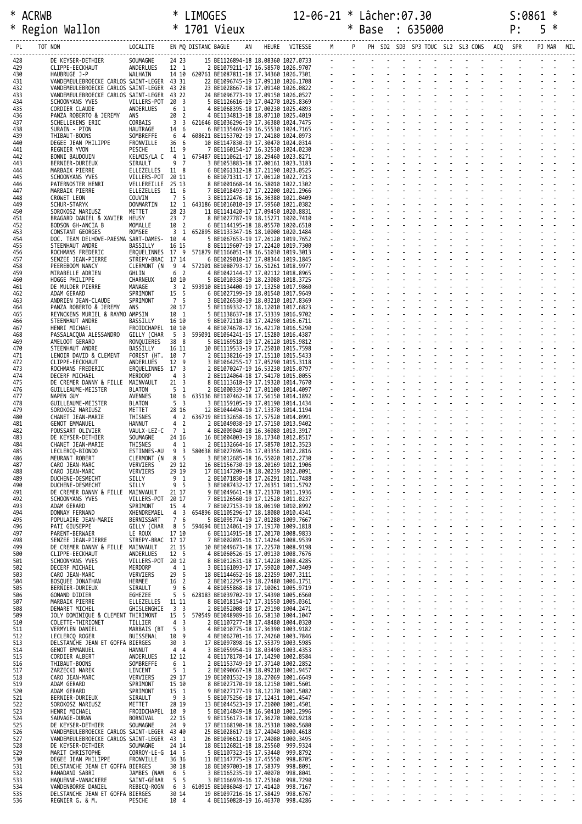\* ACRWB \* LIMOGES 12-06-21 \* Lâcher:07.30 S:0861 \*

| ∗          | Region Wallon                                                                            | * 1701 Vieux                           |                                             |    |                                                                                                                                                                                                                                          | $\star$                                                       | $\ast$ | Base                       | : 635000 |                                                                                                                                                   | P: | 5      | — ≭ |
|------------|------------------------------------------------------------------------------------------|----------------------------------------|---------------------------------------------|----|------------------------------------------------------------------------------------------------------------------------------------------------------------------------------------------------------------------------------------------|---------------------------------------------------------------|--------|----------------------------|----------|---------------------------------------------------------------------------------------------------------------------------------------------------|----|--------|-----|
| PL         | TOT NOM                                                                                  | LOCALITE EN MQ DISTANC BAGUE           |                                             |    |                                                                                                                                                                                                                                          | AN HEURE VITESSE M P PH SD2 SD3 SP3 TOUC SL2 SL3 CONS ACQ SPR |        |                            |          |                                                                                                                                                   |    | PJ MAR | MIL |
| 428        | DE KEYSER-DETHIER                                                                        | SOUMAGNE                               |                                             |    | 22 23 15 BE1126894-18 18.88369 1927.8733<br>12 1 2 BE1079211-17 16.58579 1925.979<br>14 10 620761 BE1087811-18 17.34369 1926.7301<br>14 3 22 23 BE1096745-19 17.09119 1926.8782<br>43 31 22 BE1096745-19 17.09119 1926.882<br>43 22 24 B |                                                               |        |                            |          |                                                                                                                                                   |    |        |     |
| 429<br>430 | CLIPPE-EECKHAUT<br>HAUBRUGE J-P                                                          | ANDERLUES<br>WALHAIN                   |                                             |    |                                                                                                                                                                                                                                          |                                                               |        |                            |          |                                                                                                                                                   |    |        |     |
| 431<br>432 | VANDEMEULEBROECKE CARLOS SAINT-LEGER 43 31<br>VANDEMEULEBROECKE CARLOS SAINT-LEGER 43 28 |                                        |                                             |    |                                                                                                                                                                                                                                          |                                                               |        |                            |          |                                                                                                                                                   |    |        |     |
| 433<br>434 | VANDEMEULEBROECKE CARLOS SAINT-LEGER 43 22<br>SCHOONYANS YVES                            | VILLERS-POT 20 3                       |                                             |    |                                                                                                                                                                                                                                          |                                                               |        |                            |          |                                                                                                                                                   |    |        |     |
| 435        | CORDIER CLAUDE<br>PANZA ROBERTO & JEREMY                                                 | ANDERLUES<br>ANS                       | 6<br>1<br>20 2                              |    | 4 BE1068395-18 17.00230 1025.4893<br>4 BE1134813-18 18.07110 1025.4019                                                                                                                                                                   |                                                               |        | 1111111111<br>111111111111 |          |                                                                                                                                                   |    |        |     |
| 436<br>437 | SCHELLEKENS ERIC                                                                         | CORBAIS                                |                                             |    | 3 3 621646 BE1036296-19 17.36380 1024.7475                                                                                                                                                                                               |                                                               |        |                            |          |                                                                                                                                                   |    |        |     |
| 438<br>439 | SURAIN - PION<br>THIBAUT-BOONS                                                           | HAUTRAGE<br>SOMBREFFE                  | 14 6<br>$6\overline{6}$                     |    | 6 BE1135469-19 16.55530 1024.7165<br>4 608621 BE1153702-19 17.24180 1024.0973                                                                                                                                                            |                                                               |        |                            |          |                                                                                                                                                   |    |        |     |
| 440<br>441 | DEGEE JEAN PHILIPPE<br>REGNIER YVON                                                      | FRONVILLE<br>PESCHE                    | 36 <sub>6</sub><br>11 9                     |    | 10 BE1147830-19 17.30470 1024.0314<br>7 BE1160154-17 16.32530 1024.0230                                                                                                                                                                  |                                                               |        |                            |          |                                                                                                                                                   |    |        |     |
| 442<br>443 | BONNI BAUDOUIN<br>BERNIER-DURIEUX                                                        | KELMIS/LA C<br>SIRAULT                 | 9 7                                         |    | 4 1 675487 BE1110621-17 18.29460 1023.8271<br>3 BE1053883-18 17.00161 1023.3183                                                                                                                                                          |                                                               |        | 111111111<br>11111111111   |          |                                                                                                                                                   |    |        |     |
| 444        | MARBAIX PIERRE                                                                           | ELLEZELLES 11 8                        |                                             |    | 6 BE1061312-18 17.21190 1023.0525                                                                                                                                                                                                        |                                                               |        |                            |          |                                                                                                                                                   |    |        |     |
| 445<br>446 | SCHOONYANS YVES<br>PATERNOSTER HENRI                                                     | VILLERS-POT 20 11<br>VELLEREILLE 25 13 |                                             |    | 6 BE1071311-17 17.06120 1022.7213<br>8 BE1001668-14 16.58010 1022.1302                                                                                                                                                                   |                                                               |        |                            |          |                                                                                                                                                   |    |        |     |
| 447<br>448 | MARBAIX PIERRE<br>CROWET LEON                                                            | ELLEZELLES 11 6<br>COUVIN              | 7 5                                         |    | 7 BE1018493-17 17.22200 1021.2966<br>3 BE1122476-18 16.36380 1021.0409                                                                                                                                                                   |                                                               |        |                            |          |                                                                                                                                                   |    |        |     |
| 449<br>450 | SCHUR-STARYK<br>SOROKOSZ MARIUSZ                                                         | DONMARTIN<br>METTET                    | 28 23                                       |    | 12 1 643186 BE1016010-19 17.59560 1021.0382<br>11 BE1141420-17 17.09450 1020.8831                                                                                                                                                        |                                                               |        |                            |          |                                                                                                                                                   |    |        |     |
| 451<br>452 | BRAGARD DANIEL & XAVIER HEUSY<br>BODSON GH-ANCIA B                                       | MOMALLE                                | 23 7<br>10 2                                |    | 8 BE1027787-19 18.15271 1020.7410<br>6 BE1144195-18 18.05570 1020.6510                                                                                                                                                                   |                                                               |        |                            |          |                                                                                                                                                   |    |        |     |
| 453        | CONSTANT GEORGES                                                                         | ROMSEE                                 |                                             |    | 3 1 652895 BE1133347-16 18.10000 1020.1484                                                                                                                                                                                               |                                                               |        |                            |          |                                                                                                                                                   |    |        |     |
| 454<br>455 | DOC. TEAM DELHOVE-PAESMA SART-DAMES- 10 4<br>STEENHAUT ANDRE                             | BASSILLY                               | 16 15                                       |    | 5 BE1067653-19 17.26120 1019.7652<br>8 BE1119607-19 17.22420 1019.7300                                                                                                                                                                   |                                                               |        |                            |          |                                                                                                                                                   |    |        |     |
| 456<br>457 | ROCHMANS FREDERIC<br>SENZEE JEAN-PIERRE                                                  | STREPY-BRAC 17 14                      |                                             |    | EROUELINNES 17 9 571879 BE1166051-18 16.51030 1019.3013<br>6 BE1029010-17 17.08344 1019.1845                                                                                                                                             |                                                               |        |                            |          |                                                                                                                                                   |    |        |     |
| 458<br>459 | PEEREBOOM NANCY<br>MIRABELLE ADRIEN                                                      | GHLIN                                  | 6<br>$\overline{2}$                         |    | CLERMONT (N 9 4 572101 BE1080793-17 16.51261 1018.9977<br>4 BE1042144-17 17.02112 1018.8965                                                                                                                                              |                                                               |        |                            |          |                                                                                                                                                   |    |        |     |
| 460<br>461 | HOGGE PHILIPPE<br>DE MULDER PIERRE                                                       | CHARNEUX<br>MANAGE                     | 10 10                                       |    | 5 BE1010338-19 18.23080 1018.3725<br>3 2 593910 BE1134400-19 17.13250 1017.9860                                                                                                                                                          |                                                               |        |                            |          |                                                                                                                                                   |    |        |     |
| 462        | ADAM GERARD                                                                              | SPRIMONT                               | 15 5                                        |    | 6 BE1027199-19 18.01540 1017.9649                                                                                                                                                                                                        |                                                               |        |                            |          |                                                                                                                                                   |    |        |     |
| 463<br>464 | ANDRIEN JEAN-CLAUDE<br>PANZA ROBERTO & JEREMY                                            | SPRIMONT<br>ANS                        | 7 5<br>20 17                                |    | 3 BE1026530-19 18.03210 1017.8369<br>5 BE1169332-17 18.12010 1017.6823                                                                                                                                                                   |                                                               |        |                            |          |                                                                                                                                                   |    |        |     |
| 465<br>466 | REYNCKENS MURIEL & RAYMO AMPSIN<br>STEENHAUT ANDRE                                       | BASSILLY                               | 10 1<br>16 10                               |    | 5 BE1138637-18 17.53339 1016.9702<br>9 BE1072110-18 17.24290 1016.6711                                                                                                                                                                   |                                                               |        |                            |          |                                                                                                                                                   |    |        |     |
| 467<br>468 | HENRI MICHAEL<br>PASSALACQUA ALESSANDRO                                                  | FROIDCHAPEL 10 10<br>GILLY (CHAR       |                                             |    | 4 BE1074678-17 16.42170 1016.5290<br>5 3 595091 BE1064241-15 17.15280 1016.4387                                                                                                                                                          |                                                               |        |                            |          |                                                                                                                                                   |    |        |     |
| 469        | AMELOOT GERARD                                                                           | RONQUIERES<br>BASSILLY                 | 38 8<br>16 11                               |    | 5 BE1169518-19 17.26120 1015.9812                                                                                                                                                                                                        |                                                               |        |                            |          |                                                                                                                                                   |    |        |     |
| 470<br>471 | STEENHAUT ANDRE<br>LENOIR DAVID & CLEMENT                                                | FOREST (HT. 10 7                       |                                             |    | 10 BE1119533-19 17.25010 1015.7598<br>2 BE1138216-19 17.15110 1015.5433                                                                                                                                                                  |                                                               |        | 1111111111<br>111111111111 |          |                                                                                                                                                   |    |        |     |
| 472<br>473 | CLIPPE-EECKHAUT<br>ROCHMANS FREDERIC                                                     | ANDERLUES<br>ERQUELINNES 17 3          | 12 9                                        |    | 3 BE1064255-17 17.05290 1015.3118<br>2 BE1070247-19 16.53230 1015.0797                                                                                                                                                                   |                                                               |        |                            |          |                                                                                                                                                   |    |        |     |
| 474<br>475 | DECERF MICHAEL<br>DE CREMER DANNY & FILLE MAINVAULT                                      | MERDORP                                | 4 <sup>3</sup><br>$21 \quad 3$              |    | 2 BE1124064-18 17.54170 1015.0055<br>8 BE1113618-19 17.19320 1014.7670                                                                                                                                                                   |                                                               |        |                            |          |                                                                                                                                                   |    |        |     |
| 476<br>477 | GUILLEAUME-MEISTER<br>NAPEN GUY                                                          | BLATON<br><b>AVENNES</b>               | 5 <sub>1</sub>                              |    | 2 BE1000339-17 17.01100 1014.4097<br>10 6 635136 BE1107462-18 17.56150 1014.1892                                                                                                                                                         |                                                               |        |                            |          | and a straightful contract and straight<br>design and a state of the state                                                                        |    |        |     |
| 478        | GUILLEAUME-MEISTER                                                                       | BLATON                                 | 5 3                                         |    | 3 BE1159105-19 17.01190 1014.1434                                                                                                                                                                                                        |                                                               |        |                            |          | 1919 - 1919 - 1919 - 1919 - 1919<br>1920 - 1920 - 1920 - 1920 - 1920 - 1920 - 1920 - 1920 - 1920 - 1920 - 1920 - 1920 - 1920 - 1920 - 1920 - 1920 |    |        |     |
| 479<br>480 | SOROKOSZ MARIUSZ<br>CHANET JEAN-MARIE                                                    | METTET<br>THISNES                      | 28 16                                       |    | 12 BE1044494-19 17.13370 1014.1194<br>4 2 636719 BE1132658-16 17.57520 1014.0991                                                                                                                                                         |                                                               |        |                            |          |                                                                                                                                                   |    |        |     |
| 481<br>482 | GENOT EMMANUEL<br>POUSSART OLIVIER                                                       | HANNUT<br>VAULX-LEZ-C 7 1              | 4 2                                         |    | 2 BE1049038-19 17.57150 1013.9402<br>4 BE2009040-18 16.36080 1013.3917                                                                                                                                                                   |                                                               |        |                            |          |                                                                                                                                                   |    |        |     |
| 483<br>484 | DE KEYSER-DETHIER<br>CHANET JEAN-MARIE                                                   | SOUMAGNE<br>THISNES                    | 24 16<br>$4 \quad 1$                        |    | 16 BE1004003-19 18.17340 1012.8517<br>2 BE1132664-16 17.58570 1012.3523                                                                                                                                                                  |                                                               |        |                            |          |                                                                                                                                                   |    |        |     |
| 485<br>486 | LECLERCQ-BIONDO<br>MEURANT ROBERT                                                        | ESTINNES-AU<br>CLERMONT (N 8 5         |                                             |    | 9 3 580638 BE1027696-16 17.03356 1012.2816<br>3 BE1012685-18 16.55020 1012.2730                                                                                                                                                          |                                                               |        |                            |          |                                                                                                                                                   |    |        |     |
| 487        | CARO JEAN-MARC                                                                           | VERVIERS                               | 29 12                                       |    | 16 BE1156730-19 18.20169 1012.1906                                                                                                                                                                                                       |                                                               |        |                            |          |                                                                                                                                                   |    |        |     |
| 488<br>489 | CARO JEAN-MARC<br>DUCHENE-DESMECHT                                                       | VERVIERS<br>SILLY                      | 29 19<br>9 <sub>1</sub>                     |    | 17 BE1147209-18 18.20239 1012.0091<br>2 BE1071830-18 17.26291 1011.7488                                                                                                                                                                  |                                                               |        |                            |          |                                                                                                                                                   |    |        |     |
| 490<br>491 | DUCHENE-DESMECHT<br>DE CREMER DANNY & FILLE                                              | SILLY<br>MAINVAULT                     | 9 <sub>5</sub><br>21 17                     |    | 3 BE1087432-17 17.26351 1011.5792<br>9 BE1049641-18 17.21370 1011.1936                                                                                                                                                                   |                                                               |        |                            |          |                                                                                                                                                   |    |        |     |
| 492<br>493 | SCHOONYANS YVES<br>ADAM GERARD                                                           | VILLERS-POT 20 17<br>SPRIMONT          | 15 4                                        |    | 7 BE1126560-19 17.12520 1011.0237<br>7 BE1027153-19 18.06190 1010.8992                                                                                                                                                                   |                                                               |        |                            |          |                                                                                                                                                   |    |        |     |
| 494<br>495 | DONNAY FERNAND<br>POPULAIRE JEAN-MARIE                                                   | XHENDREMAEL<br>BERNISSART              | $\overline{4}$<br>3<br>$7\overline{ }$<br>6 |    | 654896 BE1105296-17 18.18080 1010.4341<br>5 BE1095774-19 17.01280 1009.7667                                                                                                                                                              |                                                               |        |                            |          |                                                                                                                                                   |    |        |     |
| 496<br>497 | PATI GIUSEPPE                                                                            | GILLY (CHAR                            | 8 5<br>17 10                                |    | 594694 BE1124061-19 17.19170 1009.1818<br>6 BE1114915-18 17.20170 1008.9833                                                                                                                                                              |                                                               |        |                            |          |                                                                                                                                                   |    |        |     |
| 498        | PARENT-BERWAER<br>SENZEE JEAN-PIERRE                                                     | LE ROUX<br>STREPY-BRAC 17 17           |                                             |    | 7 BE1002891-16 17.14264 1008.9539                                                                                                                                                                                                        |                                                               |        |                            |          |                                                                                                                                                   |    |        |     |
| 499<br>500 | DE CREMER DANNY & FILLE MAINVAULT<br>CLIPPE-EECKHAUT                                     | ANDERLUES                              | 21 15<br>12 5                               |    | 10 BE1049673-18 17.22570 1008.9198<br>4 BE1060526-15 17.09130 1008.7676                                                                                                                                                                  |                                                               |        |                            |          |                                                                                                                                                   |    |        |     |
| 501<br>502 | SCHOONYANS YVES<br>DECERF MICHAEL                                                        | VILLERS-POT 20 12<br>MERDORP           | 4 <sub>1</sub>                              |    | 8 BE1012631-18 17.14220 1008.4285<br>3 BE1161093-17 17.59020 1007.3409                                                                                                                                                                   |                                                               |        |                            |          |                                                                                                                                                   |    |        |     |
| 503<br>504 | CARO JEAN-MARC<br>BOSQUEE JONATHAN                                                       | VERVIERS<br>HERMEE                     | 5<br>29<br>16<br>$\overline{2}$             |    | 18 BE1144652-16 18.23259 1007.3111<br>2 BE1012295-19 18.27480 1006.1751                                                                                                                                                                  |                                                               |        |                            |          |                                                                                                                                                   |    |        |     |
| 505        | BERNIER-DURIEUX                                                                          | SIRAULT                                | 9<br>6<br>5                                 |    | 4 BE1055868-18 17.10061 1005.9719                                                                                                                                                                                                        |                                                               |        |                            |          |                                                                                                                                                   |    |        |     |
| 506<br>507 | GOMAND DIDIER<br>MARBAIX PIERRE                                                          | EGHEZEE<br>ELLEZELLES                  | 5<br>11 11                                  |    | 628183 BE1039702-19 17.54390 1005.6560<br>8 BE1018154-17 17.31550 1005.0361                                                                                                                                                              |                                                               |        |                            |          |                                                                                                                                                   |    |        |     |
| 508<br>509 | DEMARET MICHEL<br>JOLY DOMINIQUE & CLEMENT THIRIMONT                                     | GHISLENGHIE                            | $\frac{1}{3}$<br>3<br>5<br>15               |    | 2 BE1052008-18 17.29190 1004.2471<br>570549 BE1048989-16 16.58130 1004.1047                                                                                                                                                              |                                                               |        |                            |          |                                                                                                                                                   |    |        |     |
| 510<br>511 | COLETTE-THIRIONET<br>VERMYLEN DANIEL                                                     | TILLIER<br>MARBAIS (BT                 | $\overline{4}$<br>3<br>5<br>$\overline{3}$  |    | 2 BE1107277-18 17.48480 1004.0320<br>4 BE1010775-18 17.36390 1003.9182                                                                                                                                                                   |                                                               |        |                            |          |                                                                                                                                                   |    |        |     |
| 512<br>513 | LECLERCQ ROGER<br>DELSTANCHE JEAN ET GOFFA BIERGES                                       | BUISSENAL                              | 9<br>10<br>30<br>$\overline{\mathbf{3}}$    |    | 4 BE1062701-16 17.24260 1003.7846<br>17 BE1097898-16 17.55379 1003.5985                                                                                                                                                                  |                                                               |        |                            |          |                                                                                                                                                   |    |        |     |
| 514        | GENOT EMMANUEL                                                                           | HANNUT                                 | 4 4                                         |    | 3 BE1059954-19 18.03490 1003.4353                                                                                                                                                                                                        |                                                               |        |                            |          |                                                                                                                                                   |    |        |     |
| 515<br>516 | CORDIER ALBERT<br>THIBAUT-BOONS                                                          | ANDERLUES<br>SOMBREFFE                 | 12 12<br>6 <sub>1</sub>                     |    | 4 BE1178178-14 17.14290 1002.8584<br>2 BE1153749-19 17.37140 1002.2852                                                                                                                                                                   |                                                               |        |                            |          |                                                                                                                                                   |    |        |     |
| 517<br>518 | ZARZECKI MAREK<br>CARO JEAN-MARC                                                         | LINCENT<br>VERVIERS                    | 5 <sub>1</sub><br>29 17                     |    | 2 BE1090667-18 18.09210 1001.9457<br>19 BE1001532-19 18.27069 1001.6649                                                                                                                                                                  |                                                               |        |                            |          |                                                                                                                                                   |    |        |     |
| 519<br>520 | ADAM GERARD<br>ADAM GERARD                                                               | SPRIMONT<br>SPRIMONT                   | 15 10<br>15 1                               |    | 8 BE1027170-19 18.12150 1001.5601<br>9 BE1027177-19 18.12170 1001.5082                                                                                                                                                                   |                                                               |        |                            |          |                                                                                                                                                   |    |        |     |
| 521<br>522 | BERNIER-DURIEUX                                                                          | SIRAULT                                | $\overline{\mathbf{3}}$<br>9<br>28 19       |    | 5 BE1075256-18 17.12431 1001.4547<br>13 BE1044523-19 17.21000 1001.4501                                                                                                                                                                  |                                                               |        |                            |          |                                                                                                                                                   |    |        |     |
| 523        | SOROKOSZ MARIUSZ<br>HENRI MICHAEL                                                        | METTET<br>FROIDCHAPEL 10 9             |                                             |    | 5 BE1014849-18 16.50410 1001.2996                                                                                                                                                                                                        |                                                               |        |                            |          |                                                                                                                                                   |    |        |     |
| 524<br>525 | SAUVAGE-DURAN<br>DE KEYSER-DETHIER                                                       | BORNIVAL<br>SOUMAGNE                   | 22 15<br>24 9                               |    | 9 BE1156173-18 17.36270 1000.9218<br>17 BE1168190-18 18.25310 1000.5680                                                                                                                                                                  |                                                               |        |                            |          |                                                                                                                                                   |    |        |     |
| 526<br>527 | VANDEMEULEBROECKE CARLOS SAINT-LEGER 43 40<br>VANDEMEULEBROECKE CARLOS SAINT-LEGER       |                                        | 43 1                                        |    | 25 BE1028617-18 17.24040 1000.4618<br>26 BE1096612-19 17.24080 1000.3495                                                                                                                                                                 |                                                               |        |                            |          |                                                                                                                                                   |    |        |     |
| 528<br>529 | DE KEYSER-DETHIER<br>MARIT CHRISTOPHE                                                    | SOUMAGNE<br>CORROY-LE-G 14 5           | 24 14                                       | 5. | 18 BE1126821-18 18.25560 999.9324<br>BE1107323-15 17.53440 999.8792                                                                                                                                                                      |                                                               |        |                            |          |                                                                                                                                                   |    |        |     |
| 530        | DEGEE JEAN PHILIPPE                                                                      | FRONVILLE                              | 36 36                                       |    | 11 BE1147775-19 17.45550 998.8705                                                                                                                                                                                                        |                                                               |        |                            |          |                                                                                                                                                   |    |        |     |
| 531<br>532 | DELSTANCHE JEAN ET GOFFA BIERGES<br>RAMADANI SABRI                                       | JAMBES (NAM                            | 30 18<br>6 5                                |    | 18 BE1097003-18 17.58379 998.8091<br>3 BE1165235-19 17.40070 998.8041                                                                                                                                                                    |                                                               |        |                            |          |                                                                                                                                                   |    |        |     |
| 533<br>534 | HAQUENNE-VANACKERE<br>VANDENBORRE DANIEL                                                 | SAINT-GERAR<br>REBECO-ROGN             | 5<br>5<br>6 3                               |    | 3 BE1166939-16 17.25360<br>610915 BE1086048-17 17.41420 998.7167                                                                                                                                                                         | 998.7290                                                      |        |                            |          |                                                                                                                                                   |    |        |     |
| 535<br>536 | DELSTANCHE JEAN ET GOFFA BIERGES<br>REGNIER G. & M.                                      | PESCHE                                 | 30 14<br>10 4                               |    | 19 BE1097216-16 17.58429 998.6767<br>4 BE1150828-19 16.46370 998.4286                                                                                                                                                                    |                                                               |        |                            |          |                                                                                                                                                   |    |        |     |